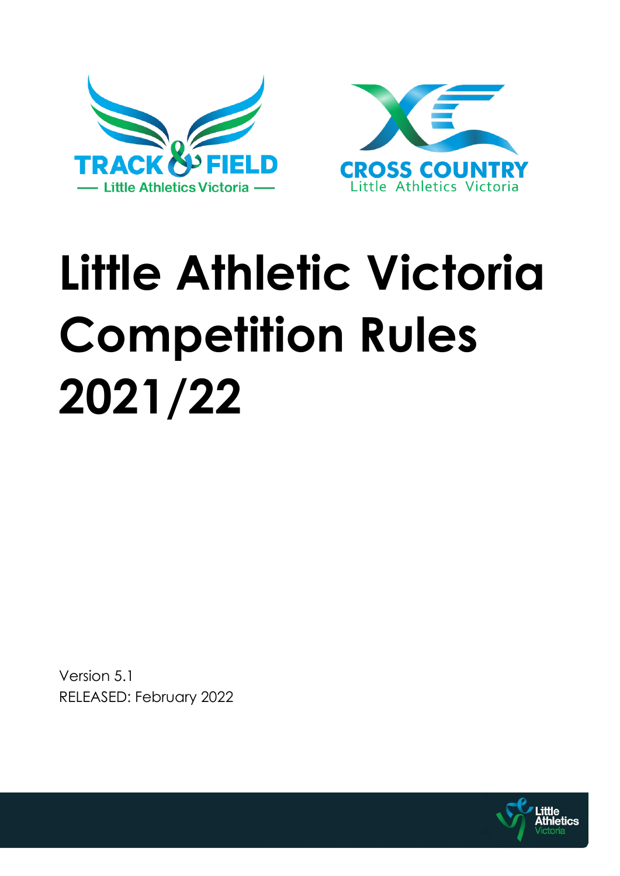



# **Little Athletic Victoria Competition Rules 2021/22**

Version 5.1 RELEASED: February 2022

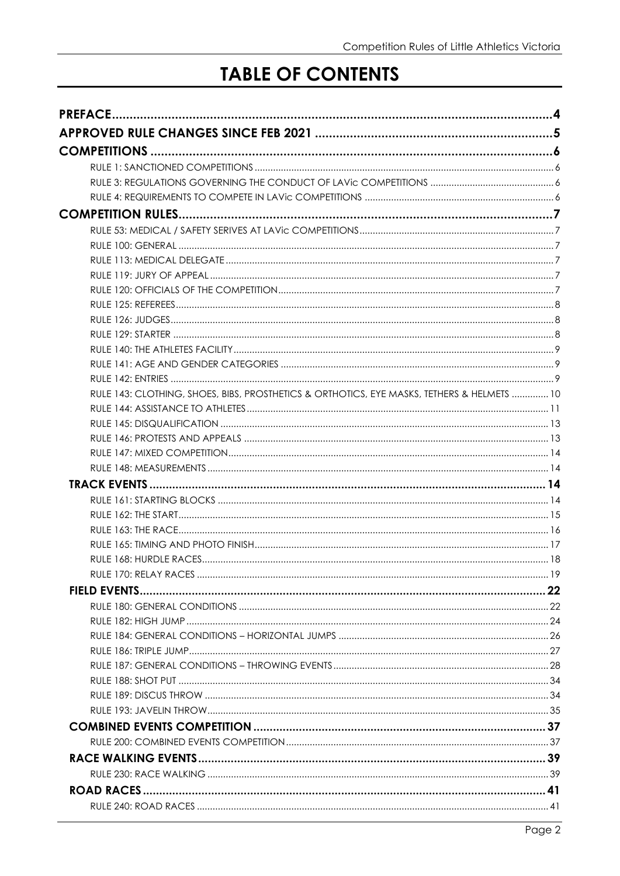# **TABLE OF CONTENTS**

| RULE 143: CLOTHING, SHOES, BIBS, PROSTHETICS & ORTHOTICS, EYE MASKS, TETHERS & HELMETS  10 |  |
|--------------------------------------------------------------------------------------------|--|
|                                                                                            |  |
|                                                                                            |  |
|                                                                                            |  |
|                                                                                            |  |
|                                                                                            |  |
|                                                                                            |  |
|                                                                                            |  |
|                                                                                            |  |
|                                                                                            |  |
|                                                                                            |  |
|                                                                                            |  |
|                                                                                            |  |
|                                                                                            |  |
|                                                                                            |  |
|                                                                                            |  |
|                                                                                            |  |
|                                                                                            |  |
|                                                                                            |  |
|                                                                                            |  |
|                                                                                            |  |
|                                                                                            |  |
|                                                                                            |  |
|                                                                                            |  |
|                                                                                            |  |
|                                                                                            |  |
|                                                                                            |  |
|                                                                                            |  |
|                                                                                            |  |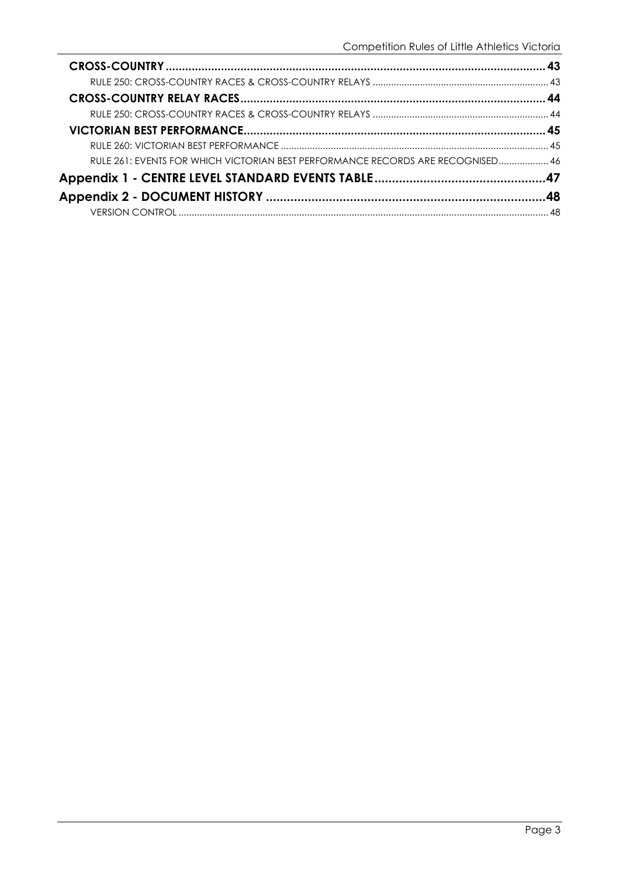| RULE 261: EVENTS FOR WHICH VICTORIAN BEST PERFORMANCE RECORDS ARE RECOGNISED 46 |  |
|---------------------------------------------------------------------------------|--|
|                                                                                 |  |
|                                                                                 |  |
|                                                                                 |  |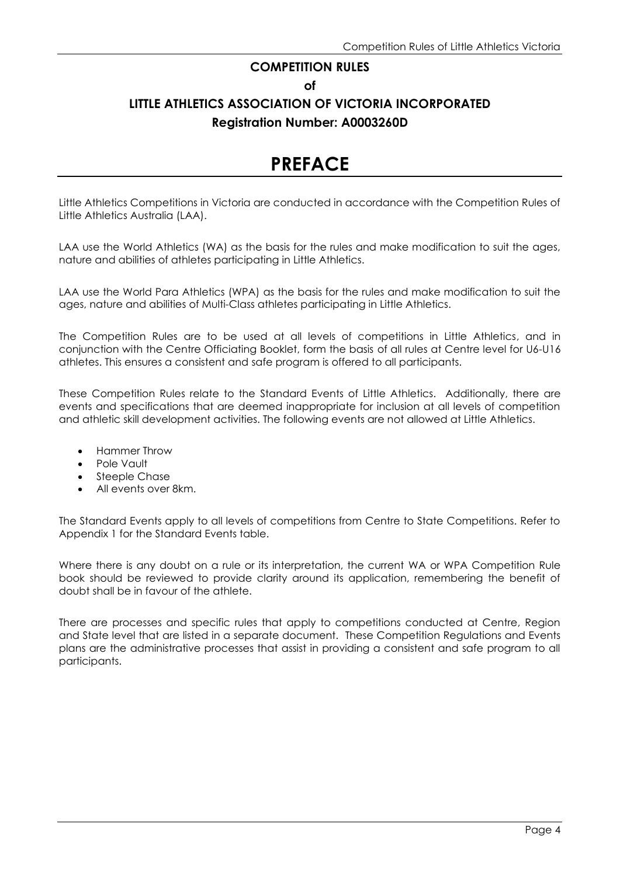#### **COMPETITION RULES**

**of**

# **LITTLE ATHLETICS ASSOCIATION OF VICTORIA INCORPORATED Registration Number: A0003260D**

# **PREFACE**

Little Athletics Competitions in Victoria are conducted in accordance with the Competition Rules of Little Athletics Australia (LAA).

LAA use the World Athletics (WA) as the basis for the rules and make modification to suit the ages, nature and abilities of athletes participating in Little Athletics.

LAA use the World Para Athletics (WPA) as the basis for the rules and make modification to suit the ages, nature and abilities of Multi-Class athletes participating in Little Athletics.

The Competition Rules are to be used at all levels of competitions in Little Athletics, and in conjunction with the Centre Officiating Booklet, form the basis of all rules at Centre level for U6-U16 athletes. This ensures a consistent and safe program is offered to all participants.

These Competition Rules relate to the Standard Events of Little Athletics. Additionally, there are events and specifications that are deemed inappropriate for inclusion at all levels of competition and athletic skill development activities. The following events are not allowed at Little Athletics.

- Hammer Throw
- Pole Vault
- Steeple Chase
- All events over 8km.

The Standard Events apply to all levels of competitions from Centre to State Competitions. Refer to Appendix 1 for the Standard Events table.

Where there is any doubt on a rule or its interpretation, the current WA or WPA Competition Rule book should be reviewed to provide clarity around its application, remembering the benefit of doubt shall be in favour of the athlete.

There are processes and specific rules that apply to competitions conducted at Centre, Region and State level that are listed in a separate document. These Competition Regulations and Events plans are the administrative processes that assist in providing a consistent and safe program to all participants.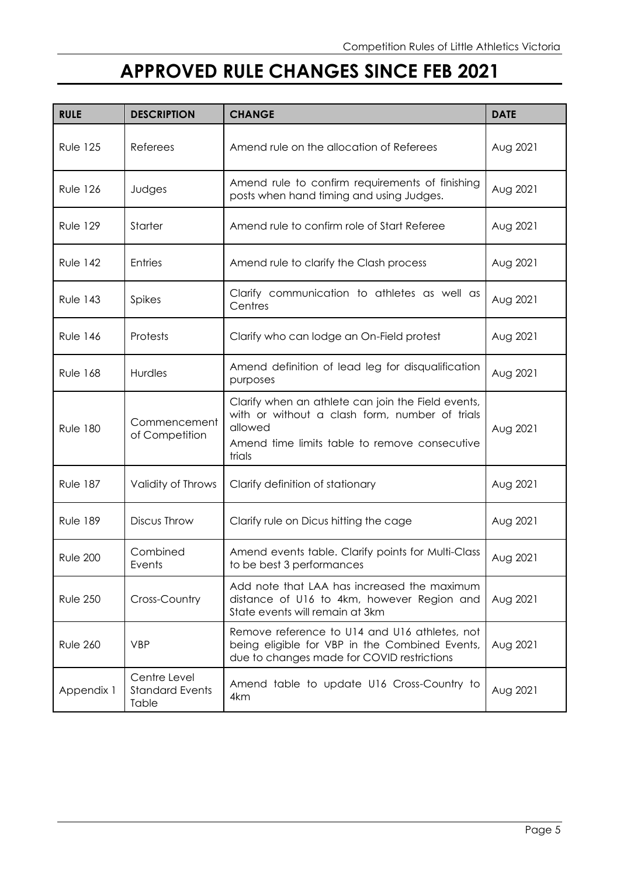# **APPROVED RULE CHANGES SINCE FEB 2021**

| <b>RULE</b>     | <b>DESCRIPTION</b>                              | <b>CHANGE</b>                                                                                                                                                              | <b>DATE</b> |
|-----------------|-------------------------------------------------|----------------------------------------------------------------------------------------------------------------------------------------------------------------------------|-------------|
| <b>Rule 125</b> | Referees                                        | Amend rule on the allocation of Referees                                                                                                                                   | Aug 2021    |
| <b>Rule 126</b> | Judges                                          | Amend rule to confirm requirements of finishing<br>posts when hand timing and using Judges.                                                                                | Aug 2021    |
| <b>Rule 129</b> | <b>Starter</b>                                  | Amend rule to confirm role of Start Referee                                                                                                                                | Aug 2021    |
| <b>Rule 142</b> | Entries                                         | Amend rule to clarify the Clash process                                                                                                                                    | Aug 2021    |
| <b>Rule 143</b> | Spikes                                          | Clarify communication to athletes as well as<br>Centres                                                                                                                    | Aug 2021    |
| <b>Rule 146</b> | Protests                                        | Clarify who can lodge an On-Field protest                                                                                                                                  | Aug 2021    |
| <b>Rule 168</b> | Hurdles                                         | Amend definition of lead leg for disqualification<br>purposes                                                                                                              | Aug 2021    |
| <b>Rule 180</b> | Commencement<br>of Competition                  | Clarify when an athlete can join the Field events,<br>with or without a clash form, number of trials<br>allowed<br>Amend time limits table to remove consecutive<br>trials |             |
| <b>Rule 187</b> | Validity of Throws                              | Clarify definition of stationary                                                                                                                                           | Aug 2021    |
| <b>Rule 189</b> | Discus Throw                                    | Clarify rule on Dicus hitting the cage                                                                                                                                     | Aug 2021    |
| <b>Rule 200</b> | Combined<br>Events                              | Amend events table. Clarify points for Multi-Class<br>to be best 3 performances                                                                                            | Aug 2021    |
| <b>Rule 250</b> | Cross-Country                                   | Add note that LAA has increased the maximum<br>distance of U16 to 4km, however Region and<br>State events will remain at 3km                                               | Aug 2021    |
| <b>Rule 260</b> | <b>VBP</b>                                      | Remove reference to U14 and U16 athletes, not<br>being eligible for VBP in the Combined Events,<br>due to changes made for COVID restrictions                              | Aug 2021    |
| Appendix 1      | Centre Level<br><b>Standard Events</b><br>Table | Amend table to update U16 Cross-Country to<br>4km                                                                                                                          | Aug 2021    |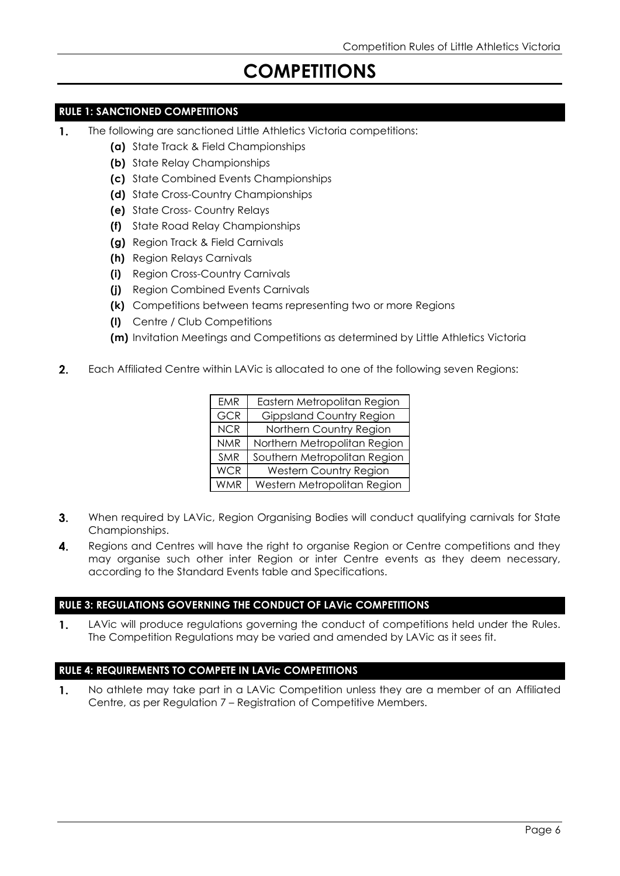# **COMPETITIONS**

#### **RULE 1: SANCTIONED COMPETITIONS**

- 1. The following are sanctioned Little Athletics Victoria competitions:
	- **(a)** State Track & Field Championships
	- **(b)** State Relay Championships
	- **(c)** State Combined Events Championships
	- **(d)** State Cross-Country Championships
	- **(e)** State Cross- Country Relays
	- **(f)** State Road Relay Championships
	- **(g)** Region Track & Field Carnivals
	- **(h)** Region Relays Carnivals
	- **(i)** Region Cross-Country Carnivals
	- **(j)** Region Combined Events Carnivals
	- **(k)** Competitions between teams representing two or more Regions
	- **(l)** Centre / Club Competitions
	- **(m)** Invitation Meetings and Competitions as determined by Little Athletics Victoria
- $2.$ Each Affiliated Centre within LAVic is allocated to one of the following seven Regions:

| <b>EMR</b> | Eastern Metropolitan Region     |
|------------|---------------------------------|
| <b>GCR</b> | <b>Gippsland Country Region</b> |
| <b>NCR</b> | Northern Country Region         |
| <b>NMR</b> | Northern Metropolitan Region    |
| SMR        | Southern Metropolitan Region    |
| <b>WCR</b> | <b>Western Country Region</b>   |
| <b>WMR</b> | Western Metropolitan Region     |

- $3.$ When required by LAVic, Region Organising Bodies will conduct qualifying carnivals for State Championships.
- $\overline{4}$ . Regions and Centres will have the right to organise Region or Centre competitions and they may organise such other inter Region or inter Centre events as they deem necessary, according to the Standard Events table and Specifications.

#### **RULE 3: REGULATIONS GOVERNING THE CONDUCT OF LAVic COMPETITIONS**

 $\mathbf{1}$ . LAVic will produce regulations governing the conduct of competitions held under the Rules. The Competition Regulations may be varied and amended by LAVic as it sees fit.

#### **RULE 4: REQUIREMENTS TO COMPETE IN LAVic COMPETITIONS**

No athlete may take part in a LAVic Competition unless they are a member of an Affiliated  $\mathbf{1}$ . Centre, as per Regulation 7 – Registration of Competitive Members.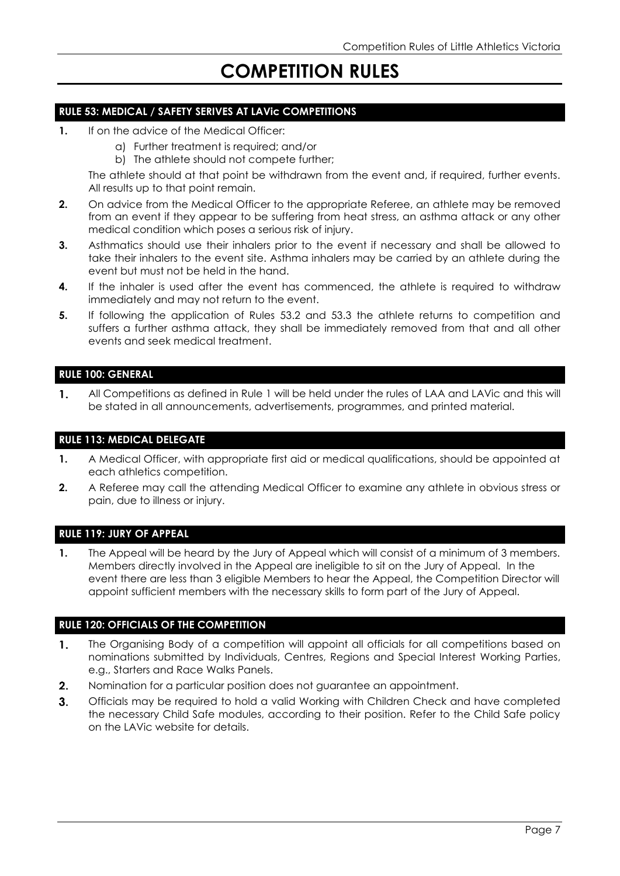# **COMPETITION RULES**

#### **RULE 53: MEDICAL / SAFETY SERIVES AT LAVic COMPETITIONS**

- **1.** If on the advice of the Medical Officer:
	- a) Further treatment is required; and/or
	- b) The athlete should not compete further;

The athlete should at that point be withdrawn from the event and, if required, further events. All results up to that point remain.

- **2.** On advice from the Medical Officer to the appropriate Referee, an athlete may be removed from an event if they appear to be suffering from heat stress, an asthma attack or any other medical condition which poses a serious risk of injury.
- **3.** Asthmatics should use their inhalers prior to the event if necessary and shall be allowed to take their inhalers to the event site. Asthma inhalers may be carried by an athlete during the event but must not be held in the hand.
- **4.** If the inhaler is used after the event has commenced, the athlete is required to withdraw immediately and may not return to the event.
- **5.** If following the application of Rules 53.2 and 53.3 the athlete returns to competition and suffers a further asthma attack, they shall be immediately removed from that and all other events and seek medical treatment.

#### **RULE 100: GENERAL**

 $\mathbf{1}$ . All Competitions as defined in Rule 1 will be held under the rules of LAA and LAVic and this will be stated in all announcements, advertisements, programmes, and printed material.

#### **RULE 113: MEDICAL DELEGATE**

- **1.** A Medical Officer, with appropriate first aid or medical qualifications, should be appointed at each athletics competition.
- **2.** A Referee may call the attending Medical Officer to examine any athlete in obvious stress or pain, due to illness or injury.

#### **RULE 119: JURY OF APPEAL**

**1.** The Appeal will be heard by the Jury of Appeal which will consist of a minimum of 3 members. Members directly involved in the Appeal are ineligible to sit on the Jury of Appeal. In the event there are less than 3 eligible Members to hear the Appeal, the Competition Director will appoint sufficient members with the necessary skills to form part of the Jury of Appeal.

#### **RULE 120: OFFICIALS OF THE COMPETITION**

- $\mathbf{1}$ . The Organising Body of a competition will appoint all officials for all competitions based on nominations submitted by Individuals, Centres, Regions and Special Interest Working Parties, e.g., Starters and Race Walks Panels.
- Nomination for a particular position does not guarantee an appointment. 2.
- $3<sub>1</sub>$ Officials may be required to hold a valid Working with Children Check and have completed the necessary Child Safe modules, according to their position. Refer to the Child Safe policy on the LAVic website for details.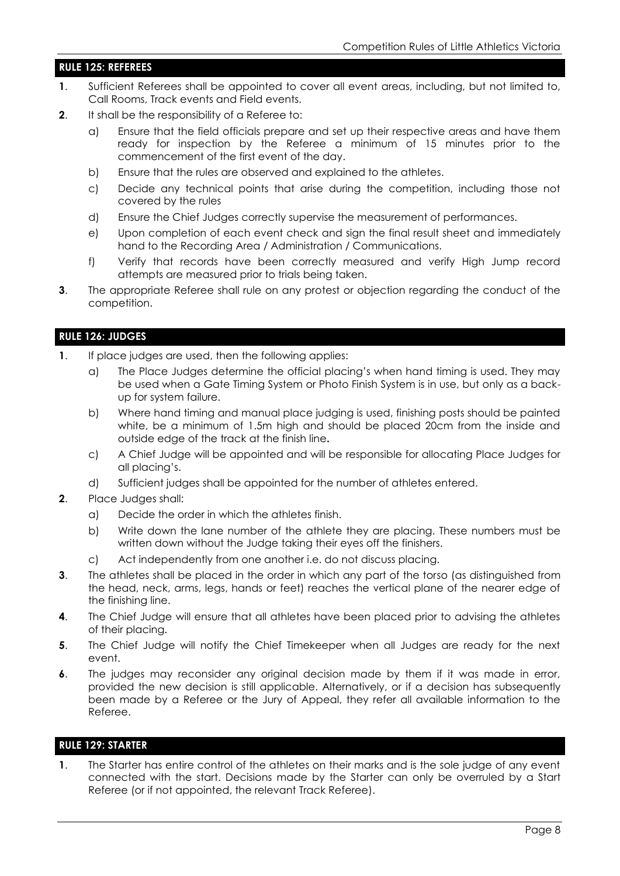#### **RULE 125: REFEREES**

- **1**. Sufficient Referees shall be appointed to cover all event areas, including, but not limited to, Call Rooms, Track events and Field events.
- **2.** It shall be the responsibility of a Referee to:
	- a) Ensure that the field officials prepare and set up their respective areas and have them ready for inspection by the Referee a minimum of 15 minutes prior to the commencement of the first event of the day.
	- b) Ensure that the rules are observed and explained to the athletes.
	- c) Decide any technical points that arise during the competition, including those not covered by the rules
	- d) Ensure the Chief Judges correctly supervise the measurement of performances.
	- e) Upon completion of each event check and sign the final result sheet and immediately hand to the Recording Area / Administration / Communications.
	- f) Verify that records have been correctly measured and verify High Jump record attempts are measured prior to trials being taken.
- **3**. The appropriate Referee shall rule on any protest or objection regarding the conduct of the competition.

#### **RULE 126: JUDGES**

- **1**. If place judges are used, then the following applies:
	- a) The Place Judges determine the official placing's when hand timing is used. They may be used when a Gate Timing System or Photo Finish System is in use, but only as a backup for system failure.
	- b) Where hand timing and manual place judging is used, finishing posts should be painted white, be a minimum of 1.5m high and should be placed 20cm from the inside and outside edge of the track at the finish line**.**
	- c) A Chief Judge will be appointed and will be responsible for allocating Place Judges for all placing's.
	- d) Sufficient judges shall be appointed for the number of athletes entered.
- **2**. Place Judges shall:
	- a) Decide the order in which the athletes finish.
	- b) Write down the lane number of the athlete they are placing. These numbers must be written down without the Judge taking their eyes off the finishers.
	- c) Act independently from one another i.e. do not discuss placing.
- **3**. The athletes shall be placed in the order in which any part of the torso (as distinguished from the head, neck, arms, legs, hands or feet) reaches the vertical plane of the nearer edge of the finishing line.
- **4.** The Chief Judge will ensure that all athletes have been placed prior to advising the athletes of their placing.
- **5**. The Chief Judge will notify the Chief Timekeeper when all Judges are ready for the next event.
- **6**. The judges may reconsider any original decision made by them if it was made in error, provided the new decision is still applicable. Alternatively, or if a decision has subsequently been made by a Referee or the Jury of Appeal, they refer all available information to the Referee.

#### **RULE 129: STARTER**

**1**. The Starter has entire control of the athletes on their marks and is the sole judge of any event connected with the start. Decisions made by the Starter can only be overruled by a Start Referee (or if not appointed, the relevant Track Referee).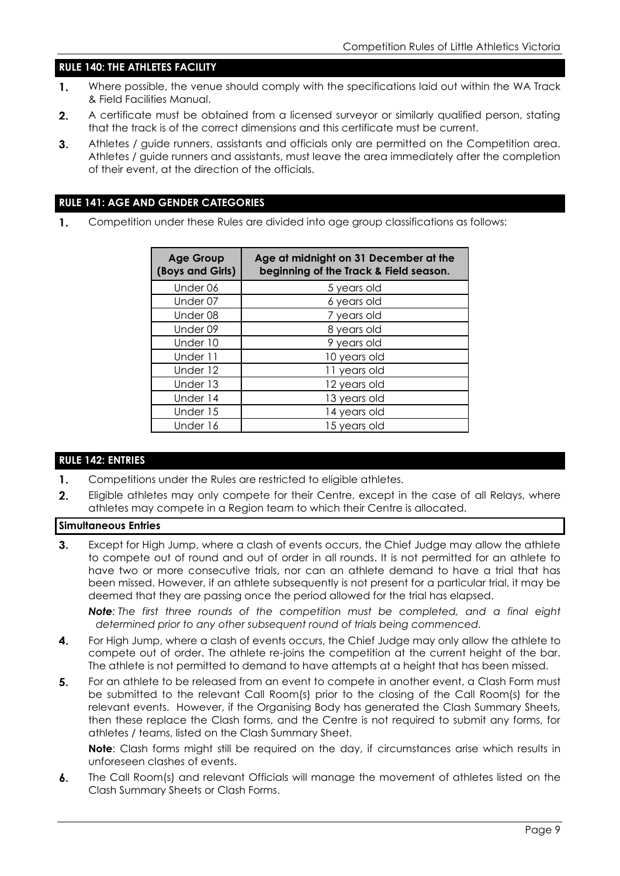#### **RULE 140: THE ATHLETES FACILITY**

- $\mathbf{1}$ . Where possible, the venue should comply with the specifications laid out within the WA Track & Field Facilities Manual.
- $2.$ A certificate must be obtained from a licensed surveyor or similarly qualified person, stating that the track is of the correct dimensions and this certificate must be current.
- $3<sub>1</sub>$ Athletes / guide runners, assistants and officials only are permitted on the Competition area. Athletes / guide runners and assistants, must leave the area immediately after the completion of their event, at the direction of the officials.

#### **RULE 141: AGE AND GENDER CATEGORIES**

Competition under these Rules are divided into age group classifications as follows: 1.

| <b>Age Group</b><br>(Boys and Girls) | Age at midnight on 31 December at the<br>beginning of the Track & Field season. |
|--------------------------------------|---------------------------------------------------------------------------------|
| Under 06                             | 5 years old                                                                     |
| Under 07                             | 6 years old                                                                     |
| Under 08                             | 7 years old                                                                     |
| Under 09                             | 8 years old                                                                     |
| Under 10                             | 9 years old                                                                     |
| Under 11                             | 10 years old                                                                    |
| Under 12                             | 11 years old                                                                    |
| Under 13                             | 12 years old                                                                    |
| Under 14                             | 13 years old                                                                    |
| Under 15                             | 14 years old                                                                    |
| Under 16                             | 15 years old                                                                    |

#### **RULE 142: ENTRIES**

- $1.$ Competitions under the Rules are restricted to eligible athletes.
- $2.$ Eligible athletes may only compete for their Centre, except in the case of all Relays, where athletes may compete in a Region team to which their Centre is allocated.

#### **Simultaneous Entries**

Except for High Jump, where a clash of events occurs, the Chief Judge may allow the athlete  $3.$ to compete out of round and out of order in all rounds. It is not permitted for an athlete to have two or more consecutive trials, nor can an athlete demand to have a trial that has been missed. However, if an athlete subsequently is not present for a particular trial, it may be deemed that they are passing once the period allowed for the trial has elapsed.

*Note: The first three rounds of the competition must be completed, and a final eight determined prior to any other subsequent round of trials being commenced.*

- 4. For High Jump, where a clash of events occurs, the Chief Judge may only allow the athlete to compete out of order. The athlete re-joins the competition at the current height of the bar. The athlete is not permitted to demand to have attempts at a height that has been missed.
- 5. For an athlete to be released from an event to compete in another event, a Clash Form must be submitted to the relevant Call Room(s) prior to the closing of the Call Room(s) for the relevant events. However, if the Organising Body has generated the Clash Summary Sheets, then these replace the Clash forms, and the Centre is not required to submit any forms, for athletes / teams, listed on the Clash Summary Sheet.

**Note**: Clash forms might still be required on the day, if circumstances arise which results in unforeseen clashes of events.

6. The Call Room(s) and relevant Officials will manage the movement of athletes listed on the Clash Summary Sheets or Clash Forms.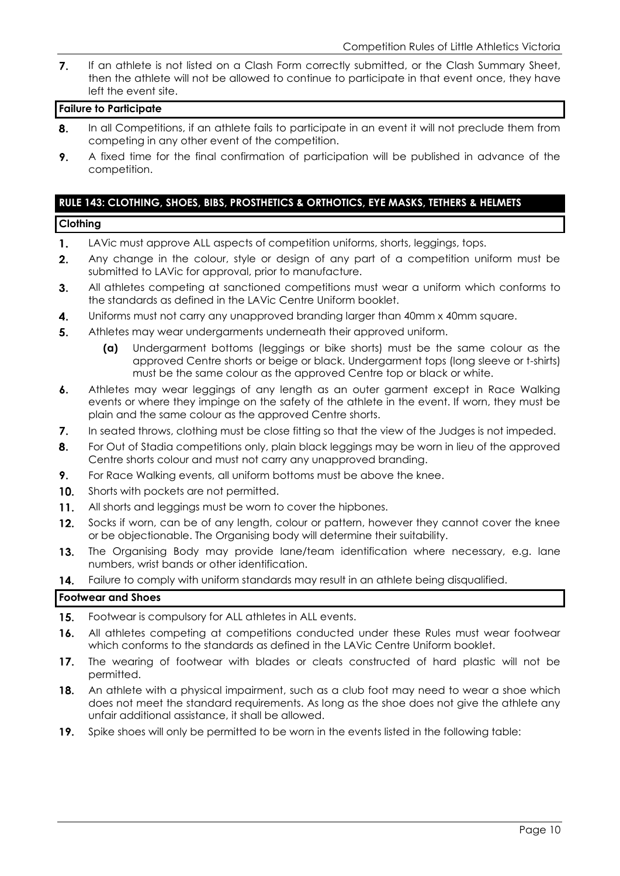$\overline{7}$ . If an athlete is not listed on a Clash Form correctly submitted, or the Clash Summary Sheet, then the athlete will not be allowed to continue to participate in that event once, they have left the event site.

#### **Failure to Participate**

- 8. In all Competitions, if an athlete fails to participate in an event it will not preclude them from competing in any other event of the competition.
- 9. A fixed time for the final confirmation of participation will be published in advance of the competition.

## **RULE 143: CLOTHING, SHOES, BIBS, PROSTHETICS & ORTHOTICS, EYE MASKS, TETHERS & HELMETS**

#### **Clothing**

- $\mathbf{1}$ . LAVic must approve ALL aspects of competition uniforms, shorts, leggings, tops.
- $2.$ Any change in the colour, style or design of any part of a competition uniform must be submitted to LAVic for approval, prior to manufacture.
- $3.$ All athletes competing at sanctioned competitions must wear a uniform which conforms to the standards as defined in the LAVic Centre Uniform booklet.
- $\overline{\mathbf{4}}$ . Uniforms must not carry any unapproved branding larger than 40mm x 40mm square.
- 5. Athletes may wear undergarments underneath their approved uniform.
	- **(a)** Undergarment bottoms (leggings or bike shorts) must be the same colour as the approved Centre shorts or beige or black. Undergarment tops (long sleeve or t-shirts) must be the same colour as the approved Centre top or black or white.
- $6.$ Athletes may wear leggings of any length as an outer garment except in Race Walking events or where they impinge on the safety of the athlete in the event. If worn, they must be plain and the same colour as the approved Centre shorts.
- $\overline{7}$ . In seated throws, clothing must be close fitting so that the view of the Judges is not impeded.
- $8.$ For Out of Stadia competitions only, plain black leggings may be worn in lieu of the approved Centre shorts colour and must not carry any unapproved branding.
- 9. For Race Walking events, all uniform bottoms must be above the knee.
- $10.$ Shorts with pockets are not permitted.
- $11.$ All shorts and leggings must be worn to cover the hipbones.
- $12.$ Socks if worn, can be of any length, colour or pattern, however they cannot cover the knee or be objectionable. The Organising body will determine their suitability.
- $13.$ The Organising Body may provide lane/team identification where necessary, e.g. lane numbers, wrist bands or other identification.
- 14. Failure to comply with uniform standards may result in an athlete being disqualified.

#### **Footwear and Shoes**

- $15.$ Footwear is compulsory for ALL athletes in ALL events.
- $16.$ All athletes competing at competitions conducted under these Rules must wear footwear which conforms to the standards as defined in the LAVic Centre Uniform booklet.
- $17.$ The wearing of footwear with blades or cleats constructed of hard plastic will not be permitted.
- An athlete with a physical impairment, such as a club foot may need to wear a shoe which  $18.$ does not meet the standard requirements. As long as the shoe does not give the athlete any unfair additional assistance, it shall be allowed.
- 19. Spike shoes will only be permitted to be worn in the events listed in the following table: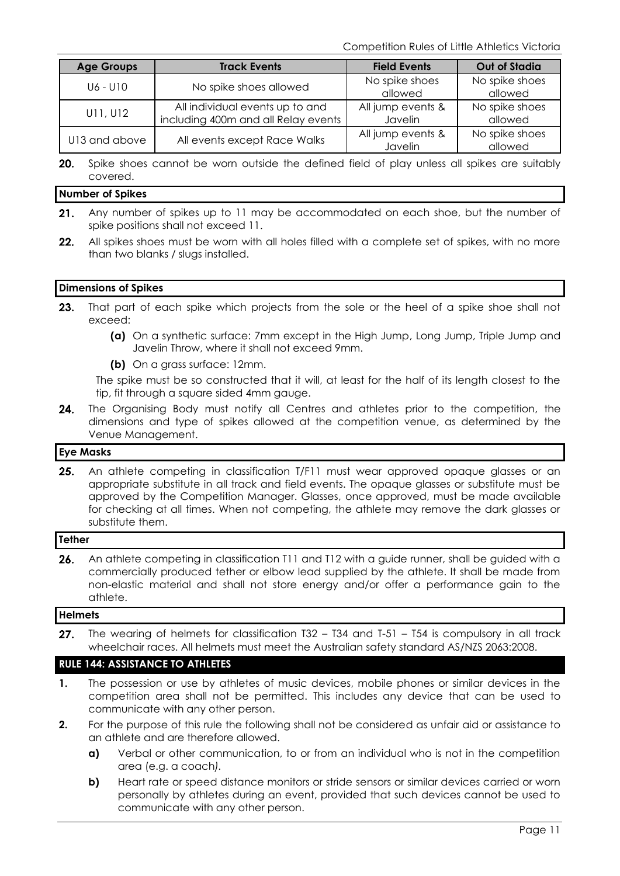Competition Rules of Little Athletics Victoria

| <b>Age Groups</b> | <b>Track Events</b>                 | <b>Field Events</b> | <b>Out of Stadia</b> |
|-------------------|-------------------------------------|---------------------|----------------------|
| U6 - U10          | No spike shoes allowed              | No spike shoes      | No spike shoes       |
|                   |                                     | allowed             | allowed              |
| U11, U12          | All individual events up to and     | All jump events &   | No spike shoes       |
|                   | including 400m and all Relay events | Javelin             | allowed              |
| U13 and above     | All events except Race Walks        | All jump events &   | No spike shoes       |
|                   |                                     | Javelin             | allowed              |

 $20.$ Spike shoes cannot be worn outside the defined field of play unless all spikes are suitably covered.

#### **Number of Spikes**

- $21.$ Any number of spikes up to 11 may be accommodated on each shoe, but the number of spike positions shall not exceed 11.
- All spikes shoes must be worn with all holes filled with a complete set of spikes, with no more  $22.$ than two blanks / slugs installed.

#### **Dimensions of Spikes**

- $23.$ That part of each spike which projects from the sole or the heel of a spike shoe shall not exceed:
	- **(a)** On a synthetic surface: 7mm except in the High Jump, Long Jump, Triple Jump and Javelin Throw, where it shall not exceed 9mm.
	- **(b)** On a grass surface: 12mm.

The spike must be so constructed that it will, at least for the half of its length closest to the tip, fit through a square sided 4mm gauge.

24. The Organising Body must notify all Centres and athletes prior to the competition, the dimensions and type of spikes allowed at the competition venue, as determined by the Venue Management.

#### **Eye Masks**

25. An athlete competing in classification T/F11 must wear approved opaque glasses or an appropriate substitute in all track and field events. The opaque glasses or substitute must be approved by the Competition Manager. Glasses, once approved, must be made available for checking at all times. When not competing, the athlete may remove the dark glasses or substitute them.

#### **Tether**

26. An athlete competing in classification T11 and T12 with a guide runner, shall be guided with a commercially produced tether or elbow lead supplied by the athlete. It shall be made from non-elastic material and shall not store energy and/or offer a performance gain to the athlete.

#### **Helmets**

 $27.$ The wearing of helmets for classification T32 – T34 and T-51 – T54 is compulsory in all track wheelchair races. All helmets must meet the Australian safety standard AS/NZS 2063:2008.

#### **RULE 144: ASSISTANCE TO ATHLETES**

- **1.** The possession or use by athletes of music devices, mobile phones or similar devices in the competition area shall not be permitted. This includes any device that can be used to communicate with any other person.
- **2.** For the purpose of this rule the following shall not be considered as unfair aid or assistance to an athlete and are therefore allowed.
	- **a)** Verbal or other communication, to or from an individual who is not in the competition area (e.g. a coach*).*
	- **b)** Heart rate or speed distance monitors or stride sensors or similar devices carried or worn personally by athletes during an event, provided that such devices cannot be used to communicate with any other person.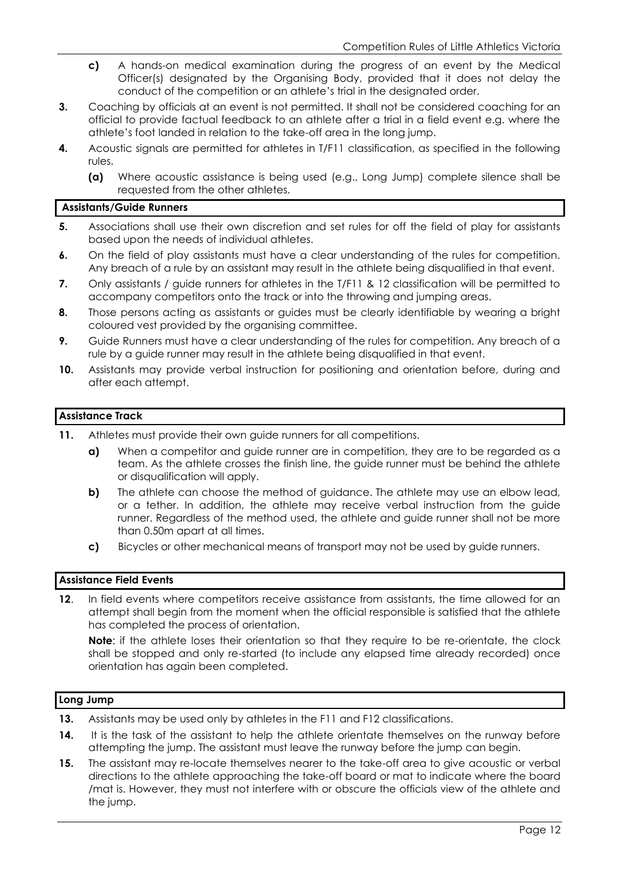- **c)** A hands-on medical examination during the progress of an event by the Medical Officer(s) designated by the Organising Body, provided that it does not delay the conduct of the competition or an athlete's trial in the designated order.
- **3.** Coaching by officials at an event is not permitted. It shall not be considered coaching for an official to provide factual feedback to an athlete after a trial in a field event e.g. where the athlete's foot landed in relation to the take-off area in the long jump.
- **4.** Acoustic signals are permitted for athletes in T/F11 classification, as specified in the following rules.
	- **(a)** Where acoustic assistance is being used (e.g., Long Jump) complete silence shall be requested from the other athletes.

#### **Assistants/Guide Runners**

- **5.** Associations shall use their own discretion and set rules for off the field of play for assistants based upon the needs of individual athletes.
- **6.** On the field of play assistants must have a clear understanding of the rules for competition. Any breach of a rule by an assistant may result in the athlete being disqualified in that event.
- **7.** Only assistants / guide runners for athletes in the T/F11 & 12 classification will be permitted to accompany competitors onto the track or into the throwing and jumping areas.
- **8.** Those persons acting as assistants or guides must be clearly identifiable by wearing a bright coloured vest provided by the organising committee.
- **9.** Guide Runners must have a clear understanding of the rules for competition. Any breach of a rule by a guide runner may result in the athlete being disqualified in that event.
- **10.** Assistants may provide verbal instruction for positioning and orientation before, during and after each attempt.

#### **Assistance Track**

- **11.** Athletes must provide their own guide runners for all competitions.
	- **a)** When a competitor and guide runner are in competition, they are to be regarded as a team. As the athlete crosses the finish line, the guide runner must be behind the athlete or disqualification will apply.
	- **b)** The athlete can choose the method of guidance. The athlete may use an elbow lead, or a tether. In addition, the athlete may receive verbal instruction from the guide runner. Regardless of the method used, the athlete and guide runner shall not be more than 0.50m apart at all times.
	- **c)** Bicycles or other mechanical means of transport may not be used by guide runners.

#### **Assistance Field Events**

**12.** In field events where competitors receive assistance from assistants, the time allowed for an attempt shall begin from the moment when the official responsible is satisfied that the athlete has completed the process of orientation.

**Note**: if the athlete loses their orientation so that they require to be re-orientate, the clock shall be stopped and only re-started (to include any elapsed time already recorded) once orientation has again been completed.

#### **Long Jump**

- **13.** Assistants may be used only by athletes in the F11 and F12 classifications.
- 14. It is the task of the assistant to help the athlete orientate themselves on the runway before attempting the jump. The assistant must leave the runway before the jump can begin.
- **15.** The assistant may re-locate themselves nearer to the take-off area to give acoustic or verbal directions to the athlete approaching the take-off board or mat to indicate where the board /mat is. However, they must not interfere with or obscure the officials view of the athlete and the jump.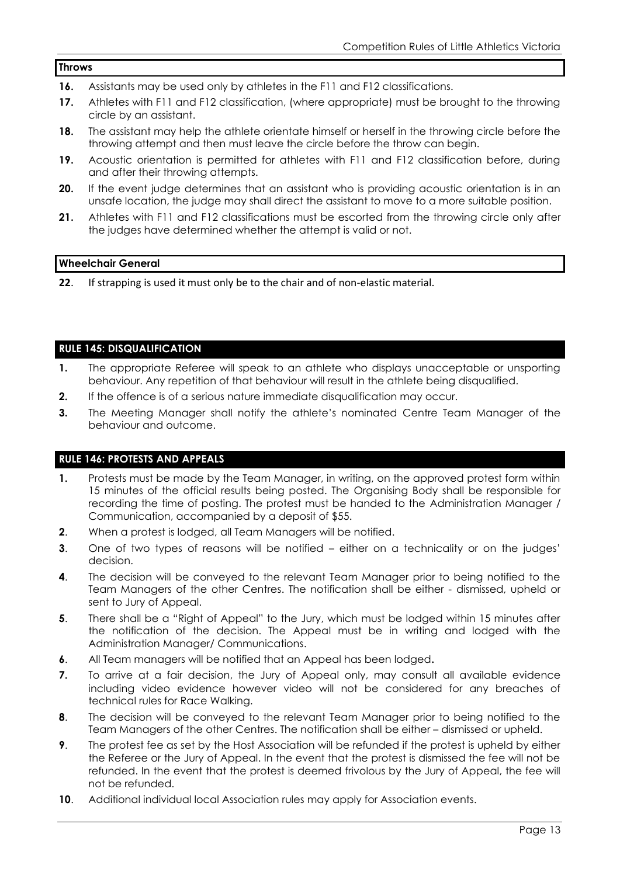#### **Throws**

- **16.** Assistants may be used only by athletes in the F11 and F12 classifications.
- **17.** Athletes with F11 and F12 classification, (where appropriate) must be brought to the throwing circle by an assistant.
- **18.** The assistant may help the athlete orientate himself or herself in the throwing circle before the throwing attempt and then must leave the circle before the throw can begin.
- **19.** Acoustic orientation is permitted for athletes with F11 and F12 classification before, during and after their throwing attempts.
- **20.** If the event judge determines that an assistant who is providing acoustic orientation is in an unsafe location, the judge may shall direct the assistant to move to a more suitable position.
- **21.** Athletes with F11 and F12 classifications must be escorted from the throwing circle only after the judges have determined whether the attempt is valid or not.

#### **Wheelchair General**

**22**. If strapping is used it must only be to the chair and of non-elastic material.

#### **RULE 145: DISQUALIFICATION**

- **1.** The appropriate Referee will speak to an athlete who displays unacceptable or unsporting behaviour. Any repetition of that behaviour will result in the athlete being disqualified.
- **2.** If the offence is of a serious nature immediate disqualification may occur.
- **3.** The Meeting Manager shall notify the athlete's nominated Centre Team Manager of the behaviour and outcome.

#### **RULE 146: PROTESTS AND APPEALS**

- **1.** Protests must be made by the Team Manager, in writing, on the approved protest form within 15 minutes of the official results being posted. The Organising Body shall be responsible for recording the time of posting. The protest must be handed to the Administration Manager / Communication, accompanied by a deposit of \$55.
- **2**. When a protest is lodged, all Team Managers will be notified.
- **3**. One of two types of reasons will be notified either on a technicality or on the judges' decision.
- **4**. The decision will be conveyed to the relevant Team Manager prior to being notified to the Team Managers of the other Centres. The notification shall be either - dismissed, upheld or sent to Jury of Appeal.
- **5**. There shall be a "Right of Appeal" to the Jury, which must be lodged within 15 minutes after the notification of the decision. The Appeal must be in writing and lodged with the Administration Manager/ Communications.
- **6**. All Team managers will be notified that an Appeal has been lodged**.**
- **7.** To arrive at a fair decision, the Jury of Appeal only, may consult all available evidence including video evidence however video will not be considered for any breaches of technical rules for Race Walking.
- **8**. The decision will be conveyed to the relevant Team Manager prior to being notified to the Team Managers of the other Centres. The notification shall be either – dismissed or upheld.
- **9**. The protest fee as set by the Host Association will be refunded if the protest is upheld by either the Referee or the Jury of Appeal. In the event that the protest is dismissed the fee will not be refunded. In the event that the protest is deemed frivolous by the Jury of Appeal, the fee will not be refunded.
- **10**. Additional individual local Association rules may apply for Association events.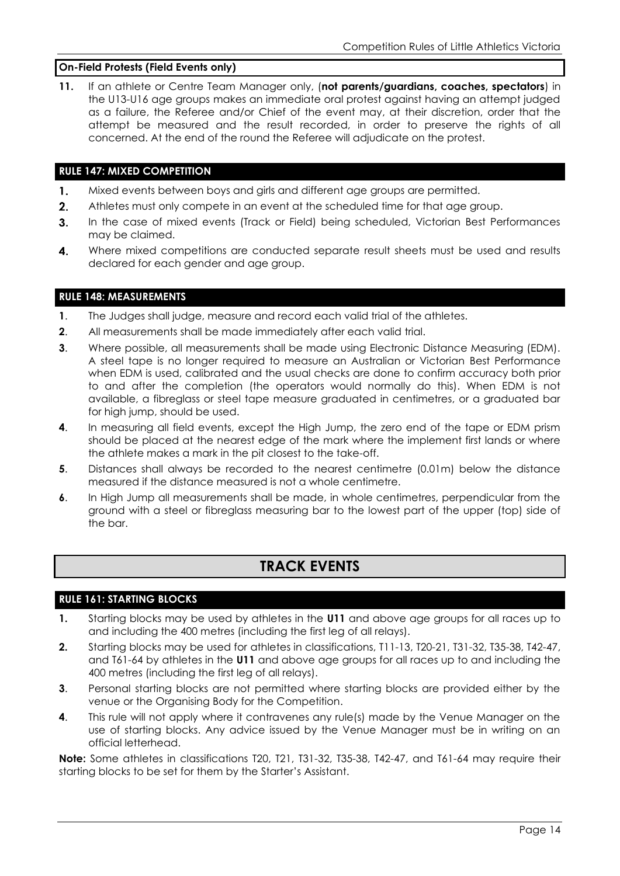#### **On-Field Protests (Field Events only)**

**11.** If an athlete or Centre Team Manager only, (**not parents/guardians, coaches, spectators**) in the U13-U16 age groups makes an immediate oral protest against having an attempt judged as a failure, the Referee and/or Chief of the event may, at their discretion, order that the attempt be measured and the result recorded, in order to preserve the rights of all concerned. At the end of the round the Referee will adjudicate on the protest.

#### **RULE 147: MIXED COMPETITION**

- $\mathbf{1}$ . Mixed events between boys and girls and different age groups are permitted.
- $2.$ Athletes must only compete in an event at the scheduled time for that age group.
- $3.$ In the case of mixed events (Track or Field) being scheduled, Victorian Best Performances may be claimed.
- $\mathbf{4}$ Where mixed competitions are conducted separate result sheets must be used and results declared for each gender and age group.

#### **RULE 148: MEASUREMENTS**

- **1**. The Judges shall judge, measure and record each valid trial of the athletes.
- **2**. All measurements shall be made immediately after each valid trial.
- **3**. Where possible, all measurements shall be made using Electronic Distance Measuring (EDM). A steel tape is no longer required to measure an Australian or Victorian Best Performance when EDM is used, calibrated and the usual checks are done to confirm accuracy both prior to and after the completion (the operators would normally do this). When EDM is not available, a fibreglass or steel tape measure graduated in centimetres, or a graduated bar for high jump, should be used.
- **4**. In measuring all field events, except the High Jump, the zero end of the tape or EDM prism should be placed at the nearest edge of the mark where the implement first lands or where the athlete makes a mark in the pit closest to the take-off.
- **5**. Distances shall always be recorded to the nearest centimetre (0.01m) below the distance measured if the distance measured is not a whole centimetre.
- **6**. In High Jump all measurements shall be made, in whole centimetres, perpendicular from the ground with a steel or fibreglass measuring bar to the lowest part of the upper (top) side of the bar.

# **TRACK EVENTS**

#### **RULE 161: STARTING BLOCKS**

- **1.** Starting blocks may be used by athletes in the **U11** and above age groups for all races up to and including the 400 metres (including the first leg of all relays).
- **2.** Starting blocks may be used for athletes in classifications, T11-13, T20-21, T31-32, T35-38, T42-47, and T61-64 by athletes in the **U11** and above age groups for all races up to and including the 400 metres (including the first leg of all relays).
- **3**. Personal starting blocks are not permitted where starting blocks are provided either by the venue or the Organising Body for the Competition.
- **4**. This rule will not apply where it contravenes any rule(s) made by the Venue Manager on the use of starting blocks. Any advice issued by the Venue Manager must be in writing on an official letterhead.

**Note:** Some athletes in classifications T20, T21, T31-32, T35-38, T42-47, and T61-64 may require their starting blocks to be set for them by the Starter's Assistant.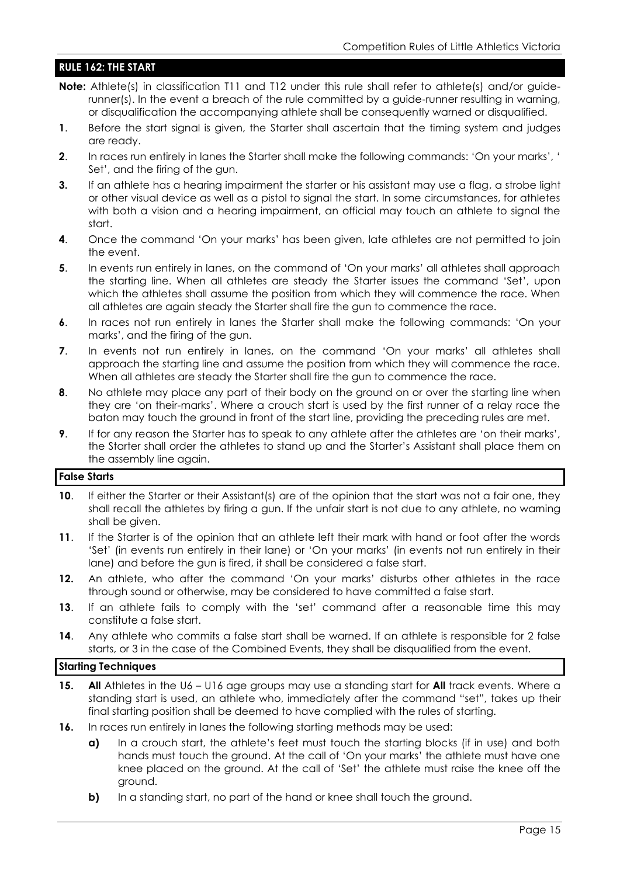#### **RULE 162: THE START**

- **Note:** Athlete(s) in classification T11 and T12 under this rule shall refer to athlete(s) and/or guiderunner(s). In the event a breach of the rule committed by a guide-runner resulting in warning, or disqualification the accompanying athlete shall be consequently warned or disqualified.
- **1**. Before the start signal is given, the Starter shall ascertain that the timing system and judges are ready.
- **2**. In races run entirely in lanes the Starter shall make the following commands: 'On your marks', ' Set', and the firing of the gun.
- **3.** If an athlete has a hearing impairment the starter or his assistant may use a flag, a strobe light or other visual device as well as a pistol to signal the start. In some circumstances, for athletes with both a vision and a hearing impairment, an official may touch an athlete to signal the start.
- **4.** Once the command 'On your marks' has been given, late athletes are not permitted to join the event.
- **5**. In events run entirely in lanes, on the command of 'On your marks' all athletes shall approach the starting line. When all athletes are steady the Starter issues the command 'Set', upon which the athletes shall assume the position from which they will commence the race. When all athletes are again steady the Starter shall fire the gun to commence the race.
- **6**. In races not run entirely in lanes the Starter shall make the following commands: 'On your marks', and the firing of the gun.
- **7.** In events not run entirely in lanes, on the command 'On your marks' all athletes shall approach the starting line and assume the position from which they will commence the race. When all athletes are steady the Starter shall fire the gun to commence the race.
- **8**. No athlete may place any part of their body on the ground on or over the starting line when they are 'on their-marks'. Where a crouch start is used by the first runner of a relay race the baton may touch the ground in front of the start line, providing the preceding rules are met.
- **9.** If for any reason the Starter has to speak to any athlete after the athletes are 'on their marks', the Starter shall order the athletes to stand up and the Starter's Assistant shall place them on the assembly line again.

#### **False Starts**

- **10.** If either the Starter or their Assistant(s) are of the opinion that the start was not a fair one, they shall recall the athletes by firing a gun. If the unfair start is not due to any athlete, no warning shall be given.
- **11**. If the Starter is of the opinion that an athlete left their mark with hand or foot after the words 'Set' (in events run entirely in their lane) or 'On your marks' (in events not run entirely in their lane) and before the gun is fired, it shall be considered a false start.
- **12.** An athlete, who after the command 'On your marks' disturbs other athletes in the race through sound or otherwise, may be considered to have committed a false start.
- **13**. If an athlete fails to comply with the 'set' command after a reasonable time this may constitute a false start.
- **14.** Any athlete who commits a false start shall be warned. If an athlete is responsible for 2 false starts, or 3 in the case of the Combined Events, they shall be disqualified from the event.

#### **Starting Techniques**

- **15. All** Athletes in the U6 U16 age groups may use a standing start for **All** track events. Where a standing start is used, an athlete who, immediately after the command "set", takes up their final starting position shall be deemed to have complied with the rules of starting.
- **16.** In races run entirely in lanes the following starting methods may be used:
	- **a)** In a crouch start, the athlete's feet must touch the starting blocks (if in use) and both hands must touch the ground. At the call of 'On your marks' the athlete must have one knee placed on the ground. At the call of 'Set' the athlete must raise the knee off the ground.
	- **b)** In a standing start, no part of the hand or knee shall touch the ground.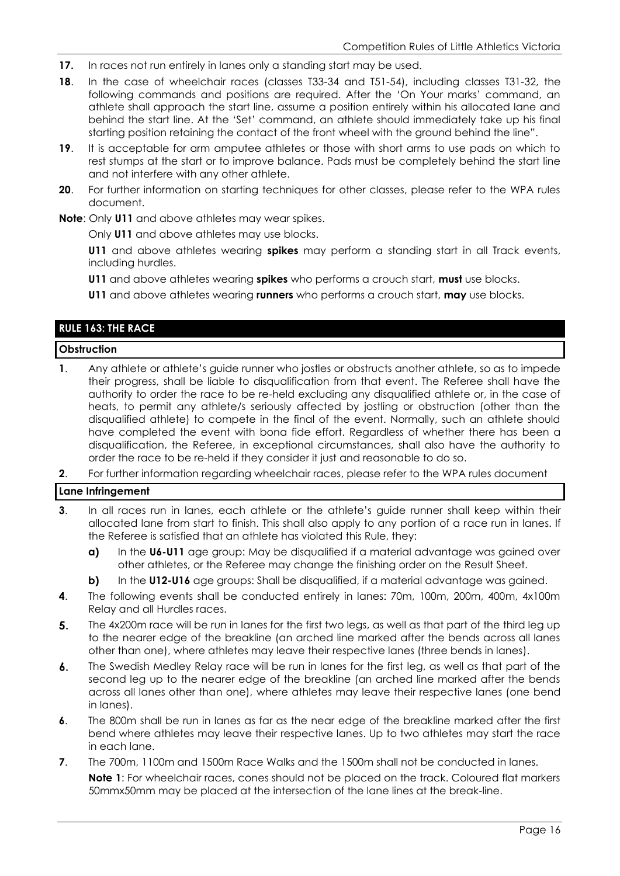- **17.** In races not run entirely in lanes only a standing start may be used.
- **18**. In the case of wheelchair races (classes T33-34 and T51-54), including classes T31-32, the following commands and positions are required. After the 'On Your marks' command, an athlete shall approach the start line, assume a position entirely within his allocated lane and behind the start line. At the 'Set' command, an athlete should immediately take up his final starting position retaining the contact of the front wheel with the ground behind the line".
- **19**. It is acceptable for arm amputee athletes or those with short arms to use pads on which to rest stumps at the start or to improve balance. Pads must be completely behind the start line and not interfere with any other athlete.
- **20**. For further information on starting techniques for other classes, please refer to the WPA rules document.

**Note**: Only **U11** and above athletes may wear spikes.

Only **U11** and above athletes may use blocks.

**U11** and above athletes wearing **spikes** may perform a standing start in all Track events, including hurdles.

**U11** and above athletes wearing **spikes** who performs a crouch start, **must** use blocks.

**U11** and above athletes wearing **runners** who performs a crouch start, **may** use blocks.

#### **RULE 163: THE RACE**

#### **Obstruction**

- **1**. Any athlete or athlete's guide runner who jostles or obstructs another athlete, so as to impede their progress, shall be liable to disqualification from that event. The Referee shall have the authority to order the race to be re-held excluding any disqualified athlete or, in the case of heats, to permit any athlete/s seriously affected by jostling or obstruction (other than the disqualified athlete) to compete in the final of the event. Normally, such an athlete should have completed the event with bona fide effort. Regardless of whether there has been a disqualification, the Referee, in exceptional circumstances, shall also have the authority to order the race to be re-held if they consider it just and reasonable to do so.
- **2**. For further information regarding wheelchair races, please refer to the WPA rules document

#### **Lane Infringement**

- **3.** In all races run in lanes, each athlete or the athlete's guide runner shall keep within their allocated lane from start to finish. This shall also apply to any portion of a race run in lanes. If the Referee is satisfied that an athlete has violated this Rule, they:
	- **a)** In the **U6-U11** age group: May be disqualified if a material advantage was gained over other athletes, or the Referee may change the finishing order on the Result Sheet.
	- **b)** In the **U12-U16** age groups: Shall be disqualified, if a material advantage was gained.
- **4**. The following events shall be conducted entirely in lanes: 70m, 100m, 200m, 400m, 4x100m Relay and all Hurdles races.
- $5<sub>1</sub>$ The 4x200m race will be run in lanes for the first two legs, as well as that part of the third leg up to the nearer edge of the breakline (an arched line marked after the bends across all lanes other than one), where athletes may leave their respective lanes (three bends in lanes).
- $\mathbf{6}$ . The Swedish Medley Relay race will be run in lanes for the first leg, as well as that part of the second leg up to the nearer edge of the breakline (an arched line marked after the bends across all lanes other than one), where athletes may leave their respective lanes (one bend in lanes).
- **6**. The 800m shall be run in lanes as far as the near edge of the breakline marked after the first bend where athletes may leave their respective lanes. Up to two athletes may start the race in each lane.
- **7**. The 700m, 1100m and 1500m Race Walks and the 1500m shall not be conducted in lanes. **Note 1**: For wheelchair races, cones should not be placed on the track. Coloured flat markers 50mmx50mm may be placed at the intersection of the lane lines at the break-line.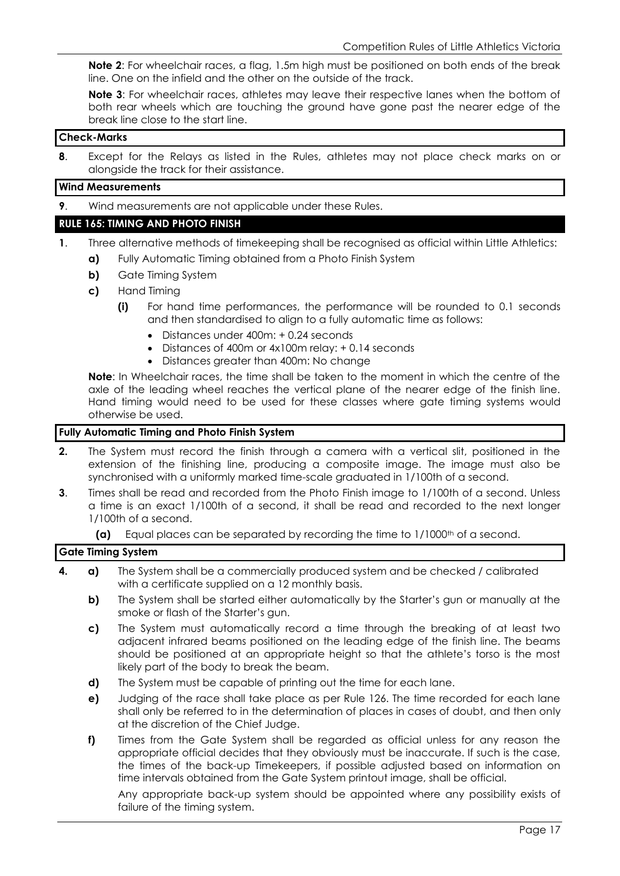**Note 2**: For wheelchair races, a flag, 1.5m high must be positioned on both ends of the break line. One on the infield and the other on the outside of the track.

**Note 3**: For wheelchair races, athletes may leave their respective lanes when the bottom of both rear wheels which are touching the ground have gone past the nearer edge of the break line close to the start line.

#### **Check-Marks**

**8**. Except for the Relays as listed in the Rules, athletes may not place check marks on or alongside the track for their assistance.

#### **Wind Measurements**

**9**. Wind measurements are not applicable under these Rules.

#### **RULE 165: TIMING AND PHOTO FINISH**

- **1**. Three alternative methods of timekeeping shall be recognised as official within Little Athletics:
	- **a)** Fully Automatic Timing obtained from a Photo Finish System
	- **b)** Gate Timing System
	- **c)** Hand Timing
		- **(i)** For hand time performances, the performance will be rounded to 0.1 seconds and then standardised to align to a fully automatic time as follows:
			- Distances under 400m: + 0.24 seconds
			- Distances of 400m or 4x100m relay: + 0.14 seconds
			- Distances greater than 400m: No change

**Note**: In Wheelchair races, the time shall be taken to the moment in which the centre of the axle of the leading wheel reaches the vertical plane of the nearer edge of the finish line. Hand timing would need to be used for these classes where gate timing systems would otherwise be used.

#### **Fully Automatic Timing and Photo Finish System**

- **2.** The System must record the finish through a camera with a vertical slit, positioned in the extension of the finishing line, producing a composite image. The image must also be synchronised with a uniformly marked time-scale graduated in 1/100th of a second.
- **3**. Times shall be read and recorded from the Photo Finish image to 1/100th of a second. Unless a time is an exact 1/100th of a second, it shall be read and recorded to the next longer 1/100th of a second.
	- **(a)** Equal places can be separated by recording the time to 1/1000<sup>th</sup> of a second.

#### **Gate Timing System**

- **4. a)** The System shall be a commercially produced system and be checked / calibrated with a certificate supplied on a 12 monthly basis.
	- **b)** The System shall be started either automatically by the Starter's gun or manually at the smoke or flash of the Starter's gun.
	- **c)** The System must automatically record a time through the breaking of at least two adjacent infrared beams positioned on the leading edge of the finish line. The beams should be positioned at an appropriate height so that the athlete's torso is the most likely part of the body to break the beam.
	- **d)** The System must be capable of printing out the time for each lane.
	- **e)** Judging of the race shall take place as per Rule 126. The time recorded for each lane shall only be referred to in the determination of places in cases of doubt, and then only at the discretion of the Chief Judge.
	- **f)** Times from the Gate System shall be regarded as official unless for any reason the appropriate official decides that they obviously must be inaccurate. If such is the case, the times of the back-up Timekeepers, if possible adjusted based on information on time intervals obtained from the Gate System printout image, shall be official.

Any appropriate back-up system should be appointed where any possibility exists of failure of the timing system.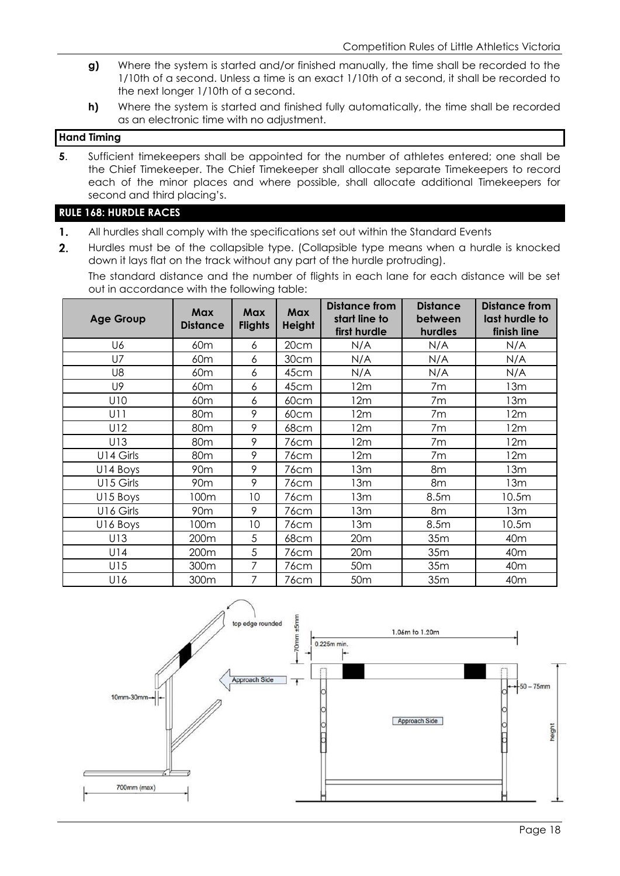- **g)** Where the system is started and/or finished manually, the time shall be recorded to the 1/10th of a second. Unless a time is an exact 1/10th of a second, it shall be recorded to the next longer 1/10th of a second.
- **h)** Where the system is started and finished fully automatically, the time shall be recorded as an electronic time with no adjustment.

#### **Hand Timing**

**5**. Sufficient timekeepers shall be appointed for the number of athletes entered; one shall be the Chief Timekeeper. The Chief Timekeeper shall allocate separate Timekeepers to record each of the minor places and where possible, shall allocate additional Timekeepers for second and third placing's.

#### **RULE 168: HURDLE RACES**

- 1. All hurdles shall comply with the specifications set out within the Standard Events
- $2<sub>1</sub>$ Hurdles must be of the collapsible type. (Collapsible type means when a hurdle is knocked down it lays flat on the track without any part of the hurdle protruding).

The standard distance and the number of flights in each lane for each distance will be set out in accordance with the following table:

| <b>Age Group</b> | <b>Max</b><br><b>Distance</b> | <b>Max</b><br><b>Flights</b> | <b>Max</b><br><b>Height</b> | Distance from<br>start line to<br>first hurdle | <b>Distance</b><br>between<br>hurdles | Distance from<br>last hurdle to<br>finish line |
|------------------|-------------------------------|------------------------------|-----------------------------|------------------------------------------------|---------------------------------------|------------------------------------------------|
| U6               | 60 <sub>m</sub>               | 6                            | 20cm                        | N/A<br>N/A                                     |                                       | N/A                                            |
| <b>U7</b>        | 60 <sub>m</sub>               | 6                            | 30cm                        | N/A                                            | N/A                                   | N/A                                            |
| U8               | 60 <sub>m</sub>               | 6                            | 45cm                        | N/A                                            | N/A                                   | N/A                                            |
| U9               | 60 <sub>m</sub>               | 6                            | 45cm                        | 12m                                            | 7m                                    | 13m                                            |
| U10              | 60 <sub>m</sub>               | 6                            | 60cm                        | 12m                                            | 7m                                    | 13m                                            |
| U <sub>1</sub>   | 80 <sub>m</sub>               | 9                            | 60cm                        | 12m                                            | 7m                                    |                                                |
| U12              | 80 <sub>m</sub>               | 9                            | 68cm                        | 12m<br>7m                                      |                                       | 12m                                            |
| U13              | 80 <sub>m</sub>               | 9                            | 76cm                        | 12m                                            | 7m                                    |                                                |
| U14 Girls        | 80 <sub>m</sub>               | 9                            | 76cm                        | 12m                                            | 7m                                    |                                                |
| U14 Boys         | 90 <sub>m</sub>               | 9                            | 76 <sub>cm</sub>            | 13m                                            | 8m                                    | 13m                                            |
| U15 Girls        | 90 <sub>m</sub>               | 9                            | 76cm                        | 13m                                            | 8m                                    | 13m                                            |
| U15 Boys         | 100m                          | 10                           | 76cm                        | 13m                                            | 8.5m                                  | 10.5m                                          |
| U16 Girls        | 90 <sub>m</sub>               | 9                            | 76cm                        | 13m                                            | 8m                                    | 13m                                            |
| U16 Boys         | 100m                          | 10                           | 76cm                        | 13m                                            | 8.5m                                  | 10.5m                                          |
| U13              | 200m                          | 5                            | 68cm                        | 20m<br>35 <sub>m</sub>                         |                                       | 40 <sub>m</sub>                                |
| U14              | 200m                          | 5                            | 76cm                        | 20m<br>35m                                     |                                       | 40 <sub>m</sub>                                |
| U15              | 300m                          | 7                            | 76cm                        | 35m<br>50 <sub>m</sub>                         |                                       | 40 <sub>m</sub>                                |
| U16              | 300m                          | 7                            | 76cm                        | 50 <sub>m</sub>                                | 35m                                   | 40 <sub>m</sub>                                |

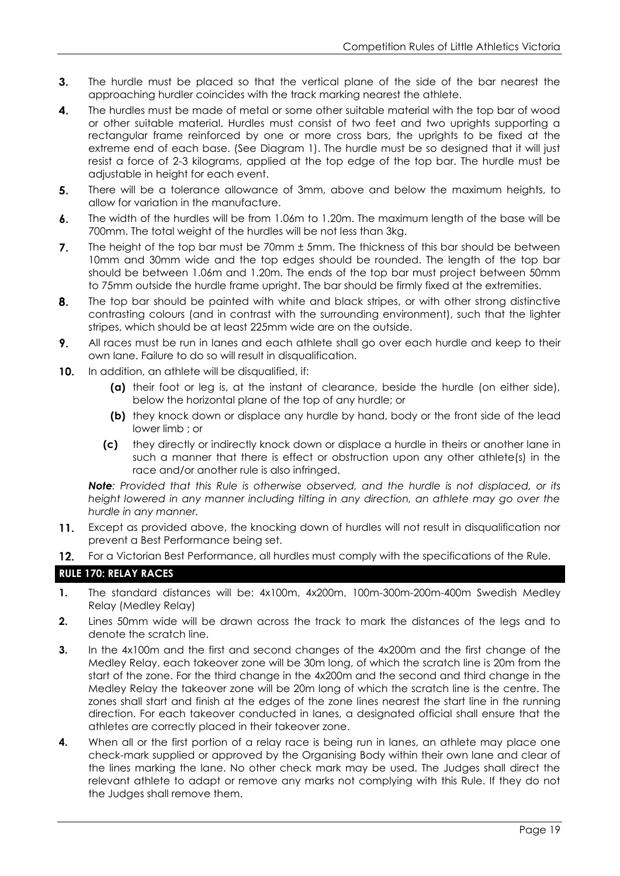- The hurdle must be placed so that the vertical plane of the side of the bar nearest the  $3.$ approaching hurdler coincides with the track marking nearest the athlete.
- $\overline{\mathbf{4}}$ . The hurdles must be made of metal or some other suitable material with the top bar of wood or other suitable material. Hurdles must consist of two feet and two uprights supporting a rectangular frame reinforced by one or more cross bars, the uprights to be fixed at the extreme end of each base. (See Diagram 1). The hurdle must be so designed that it will just resist a force of 2-3 kilograms, applied at the top edge of the top bar. The hurdle must be adjustable in height for each event.
- There will be a tolerance allowance of 3mm, above and below the maximum heights, to  $5<sub>1</sub>$ allow for variation in the manufacture.
- $\boldsymbol{6}$ . The width of the hurdles will be from 1.06m to 1.20m. The maximum length of the base will be 700mm. The total weight of the hurdles will be not less than 3kg.
- $\overline{7}$ . The height of the top bar must be 70mm ± 5mm. The thickness of this bar should be between 10mm and 30mm wide and the top edges should be rounded. The length of the top bar should be between 1.06m and 1.20m. The ends of the top bar must project between 50mm to 75mm outside the hurdle frame upright. The bar should be firmly fixed at the extremities.
- 8. The top bar should be painted with white and black stripes, or with other strong distinctive contrasting colours (and in contrast with the surrounding environment), such that the lighter stripes, which should be at least 225mm wide are on the outside.
- 9. All races must be run in lanes and each athlete shall go over each hurdle and keep to their own lane. Failure to do so will result in disqualification.
- $10.$ In addition, an athlete will be disqualified, if:
	- **(a)** their foot or leg is, at the instant of clearance, beside the hurdle (on either side), below the horizontal plane of the top of any hurdle; or
	- **(b)** they knock down or displace any hurdle by hand, body or the front side of the lead lower limb ; or
	- **(c)** they directly or indirectly knock down or displace a hurdle in theirs or another lane in such a manner that there is effect or obstruction upon any other athlete(s) in the race and/or another rule is also infringed.

*Note: Provided that this Rule is otherwise observed, and the hurdle is not displaced, or its*  height lowered in any manner including tilting in any direction, an athlete may go over the *hurdle in any manner.*

- $11.$ Except as provided above, the knocking down of hurdles will not result in disqualification nor prevent a Best Performance being set.
- $12.$ For a Victorian Best Performance, all hurdles must comply with the specifications of the Rule.

#### **RULE 170: RELAY RACES**

- **1.** The standard distances will be: 4x100m, 4x200m, 100m-300m-200m-400m Swedish Medley Relay (Medley Relay)
- **2.** Lines 50mm wide will be drawn across the track to mark the distances of the legs and to denote the scratch line.
- **3.** In the 4x100m and the first and second changes of the 4x200m and the first change of the Medley Relay, each takeover zone will be 30m long, of which the scratch line is 20m from the start of the zone. For the third change in the 4x200m and the second and third change in the Medley Relay the takeover zone will be 20m long of which the scratch line is the centre. The zones shall start and finish at the edges of the zone lines nearest the start line in the running direction. For each takeover conducted in lanes, a designated official shall ensure that the athletes are correctly placed in their takeover zone.
- **4.** When all or the first portion of a relay race is being run in lanes, an athlete may place one check-mark supplied or approved by the Organising Body within their own lane and clear of the lines marking the lane. No other check mark may be used. The Judges shall direct the relevant athlete to adapt or remove any marks not complying with this Rule. If they do not the Judges shall remove them.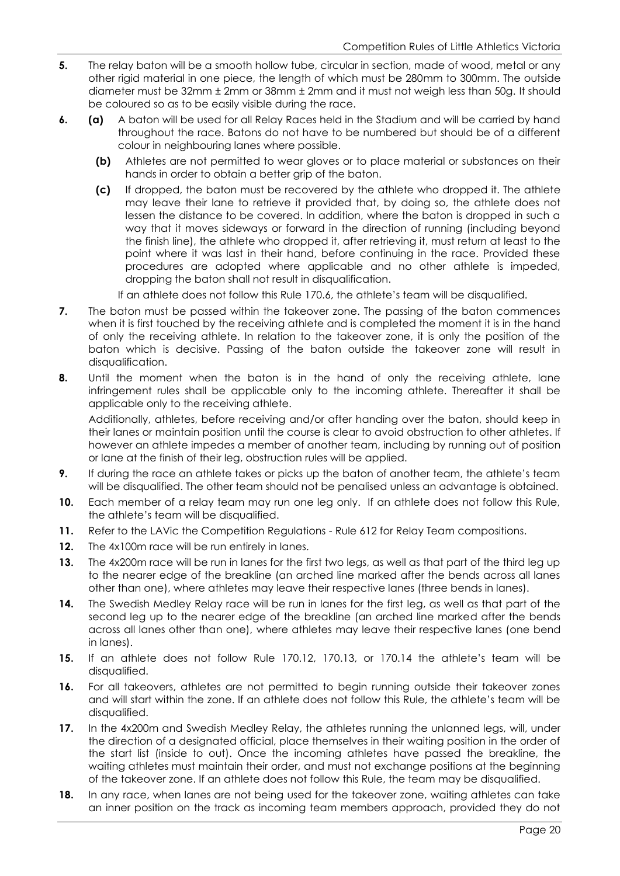- **5.** The relay baton will be a smooth hollow tube, circular in section, made of wood, metal or any other rigid material in one piece, the length of which must be 280mm to 300mm. The outside diameter must be 32mm ± 2mm or 38mm ± 2mm and it must not weigh less than 50g. It should be coloured so as to be easily visible during the race.
- **6. (a)** A baton will be used for all Relay Races held in the Stadium and will be carried by hand throughout the race. Batons do not have to be numbered but should be of a different colour in neighbouring lanes where possible.
	- **(b)** Athletes are not permitted to wear gloves or to place material or substances on their hands in order to obtain a better grip of the baton.
	- **(c)** If dropped, the baton must be recovered by the athlete who dropped it. The athlete may leave their lane to retrieve it provided that, by doing so, the athlete does not lessen the distance to be covered. In addition, where the baton is dropped in such a way that it moves sideways or forward in the direction of running (including beyond the finish line), the athlete who dropped it, after retrieving it, must return at least to the point where it was last in their hand, before continuing in the race. Provided these procedures are adopted where applicable and no other athlete is impeded, dropping the baton shall not result in disqualification.

If an athlete does not follow this Rule 170.6, the athlete's team will be disqualified.

- **7.** The baton must be passed within the takeover zone. The passing of the baton commences when it is first touched by the receiving athlete and is completed the moment it is in the hand of only the receiving athlete. In relation to the takeover zone, it is only the position of the baton which is decisive. Passing of the baton outside the takeover zone will result in disqualification.
- **8.** Until the moment when the baton is in the hand of only the receiving athlete, lane infringement rules shall be applicable only to the incoming athlete. Thereafter it shall be applicable only to the receiving athlete.

Additionally, athletes, before receiving and/or after handing over the baton, should keep in their lanes or maintain position until the course is clear to avoid obstruction to other athletes. If however an athlete impedes a member of another team, including by running out of position or lane at the finish of their leg, obstruction rules will be applied.

- **9.** If during the race an athlete takes or picks up the baton of another team, the athlete's team will be disqualified. The other team should not be penalised unless an advantage is obtained.
- **10.** Each member of a relay team may run one leg only. If an athlete does not follow this Rule, the athlete's team will be disqualified.
- **11.** Refer to the LAVic the Competition Regulations Rule 612 for Relay Team compositions.
- **12.** The 4x100m race will be run entirely in lanes.
- **13.** The 4x200m race will be run in lanes for the first two legs, as well as that part of the third leg up to the nearer edge of the breakline (an arched line marked after the bends across all lanes other than one), where athletes may leave their respective lanes (three bends in lanes).
- **14.** The Swedish Medley Relay race will be run in lanes for the first leg, as well as that part of the second leg up to the nearer edge of the breakline (an arched line marked after the bends across all lanes other than one), where athletes may leave their respective lanes (one bend in lanes).
- **15.** If an athlete does not follow Rule 170.12, 170.13, or 170.14 the athlete's team will be disqualified.
- **16.** For all takeovers, athletes are not permitted to begin running outside their takeover zones and will start within the zone. If an athlete does not follow this Rule, the athlete's team will be disqualified.
- **17.** In the 4x200m and Swedish Medley Relay, the athletes running the unlanned legs, will, under the direction of a designated official, place themselves in their waiting position in the order of the start list (inside to out). Once the incoming athletes have passed the breakline, the waiting athletes must maintain their order, and must not exchange positions at the beginning of the takeover zone. If an athlete does not follow this Rule, the team may be disqualified.
- **18.** In any race, when lanes are not being used for the takeover zone, waiting athletes can take an inner position on the track as incoming team members approach, provided they do not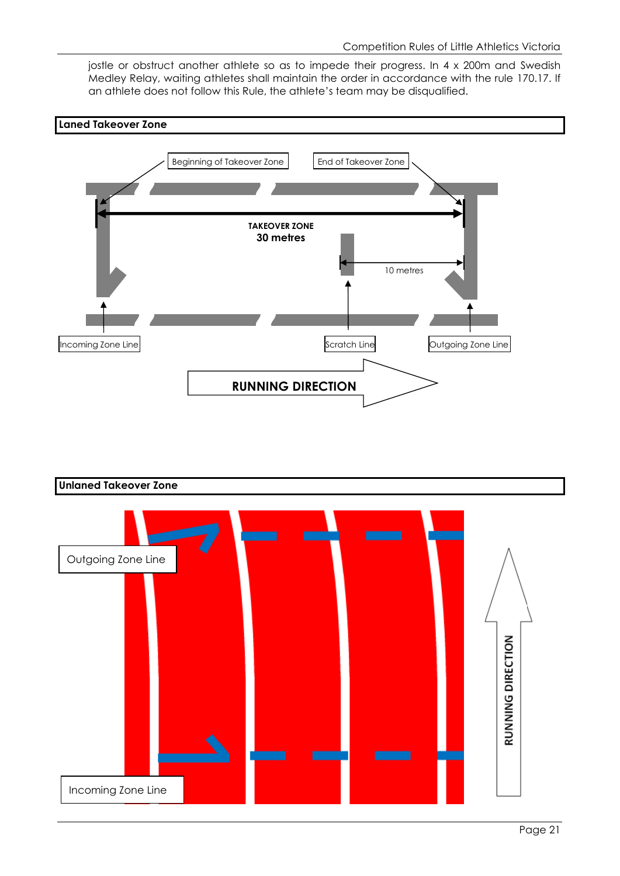jostle or obstruct another athlete so as to impede their progress. In 4 x 200m and Swedish Medley Relay, waiting athletes shall maintain the order in accordance with the rule 170.17. If an athlete does not follow this Rule, the athlete's team may be disqualified.





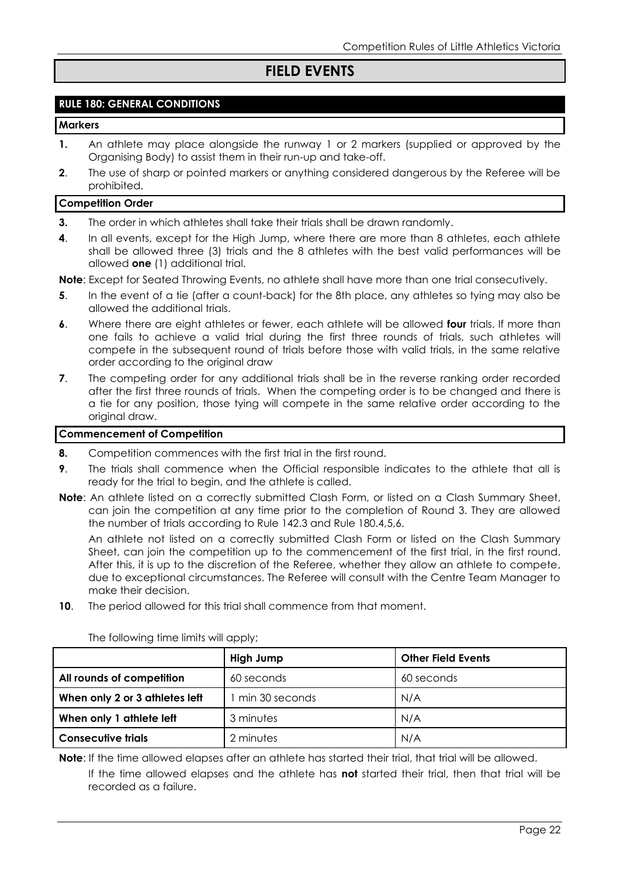## **FIELD EVENTS**

#### **RULE 180: GENERAL CONDITIONS**

#### **Markers**

- **1.** An athlete may place alongside the runway 1 or 2 markers (supplied or approved by the Organising Body) to assist them in their run-up and take-off.
- **2.** The use of sharp or pointed markers or anything considered dangerous by the Referee will be prohibited.

#### **Competition Order**

- **3.** The order in which athletes shall take their trials shall be drawn randomly.
- **4**. In all events, except for the High Jump, where there are more than 8 athletes, each athlete shall be allowed three (3) trials and the 8 athletes with the best valid performances will be allowed **one** (1) additional trial.

**Note**: Except for Seated Throwing Events, no athlete shall have more than one trial consecutively.

- **5**. In the event of a tie (after a count-back) for the 8th place, any athletes so tying may also be allowed the additional trials.
- **6**. Where there are eight athletes or fewer, each athlete will be allowed **four** trials. If more than one fails to achieve a valid trial during the first three rounds of trials, such athletes will compete in the subsequent round of trials before those with valid trials, in the same relative order according to the original draw
- **7.** The competing order for any additional trials shall be in the reverse ranking order recorded after the first three rounds of trials. When the competing order is to be changed and there is a tie for any position, those tying will compete in the same relative order according to the original draw.

#### **Commencement of Competition**

- **8.** Competition commences with the first trial in the first round.
- **9.** The trials shall commence when the Official responsible indicates to the athlete that all is ready for the trial to begin, and the athlete is called.
- **Note**: An athlete listed on a correctly submitted Clash Form, or listed on a Clash Summary Sheet, can join the competition at any time prior to the completion of Round 3. They are allowed the number of trials according to Rule 142.3 and Rule 180.4,5,6.

An athlete not listed on a correctly submitted Clash Form or listed on the Clash Summary Sheet, can join the competition up to the commencement of the first trial, in the first round. After this, it is up to the discretion of the Referee, whether they allow an athlete to compete, due to exceptional circumstances. The Referee will consult with the Centre Team Manager to make their decision.

**10**. The period allowed for this trial shall commence from that moment.

|                                | High Jump        | <b>Other Field Events</b> |  |
|--------------------------------|------------------|---------------------------|--|
| All rounds of competition      | 60 seconds       | 60 seconds                |  |
| When only 2 or 3 athletes left | 1 min 30 seconds | N/A                       |  |
| When only 1 athlete left       | 3 minutes        | N/A                       |  |
| <b>Consecutive trials</b>      | 2 minutes        | N/A                       |  |

The following time limits will apply;

**Note**: If the time allowed elapses after an athlete has started their trial, that trial will be allowed.

If the time allowed elapses and the athlete has **not** started their trial, then that trial will be recorded as a failure.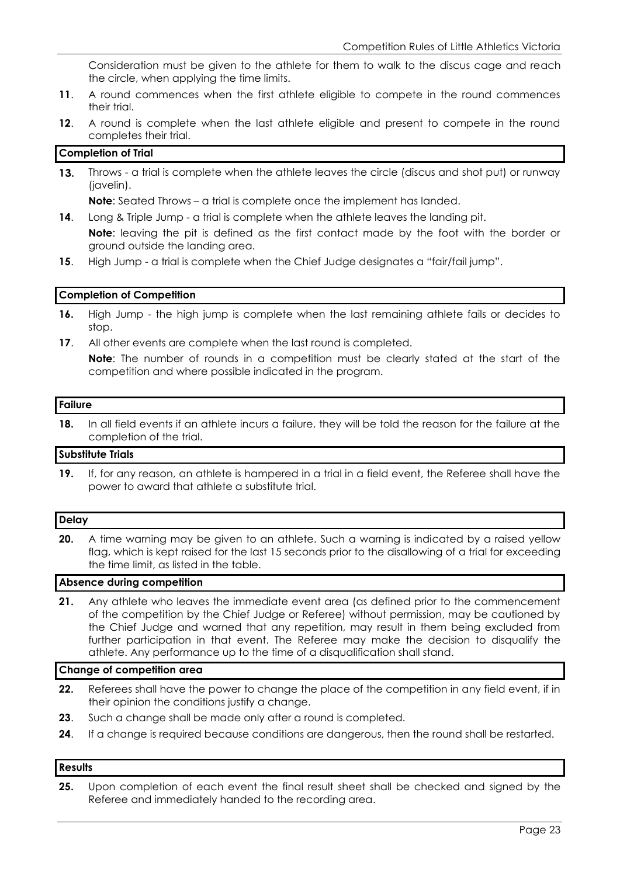Consideration must be given to the athlete for them to walk to the discus cage and reach the circle, when applying the time limits.

- **11**. A round commences when the first athlete eligible to compete in the round commences their trial.
- **12**. A round is complete when the last athlete eligible and present to compete in the round completes their trial.

#### **Completion of Trial**

Throws - a trial is complete when the athlete leaves the circle (discus and shot put) or runway  $13.$ (javelin).

**Note**: Seated Throws – a trial is complete once the implement has landed.

**14.** Long & Triple Jump - a trial is complete when the athlete leaves the landing pit.

**Note**: leaving the pit is defined as the first contact made by the foot with the border or ground outside the landing area.

**15**. High Jump - a trial is complete when the Chief Judge designates a "fair/fail jump".

#### **Completion of Competition**

- **16.** High Jump the high jump is complete when the last remaining athlete fails or decides to stop.
- **17**. All other events are complete when the last round is completed.

**Note**: The number of rounds in a competition must be clearly stated at the start of the competition and where possible indicated in the program.

#### **Failure**

**18.** In all field events if an athlete incurs a failure, they will be told the reason for the failure at the completion of the trial.

#### **Substitute Trials**

**19.** If, for any reason, an athlete is hampered in a trial in a field event, the Referee shall have the power to award that athlete a substitute trial.

#### **Delay**

**20.** A time warning may be given to an athlete. Such a warning is indicated by a raised yellow flag, which is kept raised for the last 15 seconds prior to the disallowing of a trial for exceeding the time limit, as listed in the table.

#### **Absence during competition**

**21.** Any athlete who leaves the immediate event area (as defined prior to the commencement of the competition by the Chief Judge or Referee) without permission, may be cautioned by the Chief Judge and warned that any repetition, may result in them being excluded from further participation in that event. The Referee may make the decision to disqualify the athlete. Any performance up to the time of a disqualification shall stand.

#### **Change of competition area**

- **22.** Referees shall have the power to change the place of the competition in any field event, if in their opinion the conditions justify a change.
- **23**. Such a change shall be made only after a round is completed.
- **24.** If a change is required because conditions are dangerous, then the round shall be restarted.

#### **Results**

**25.** Upon completion of each event the final result sheet shall be checked and signed by the Referee and immediately handed to the recording area.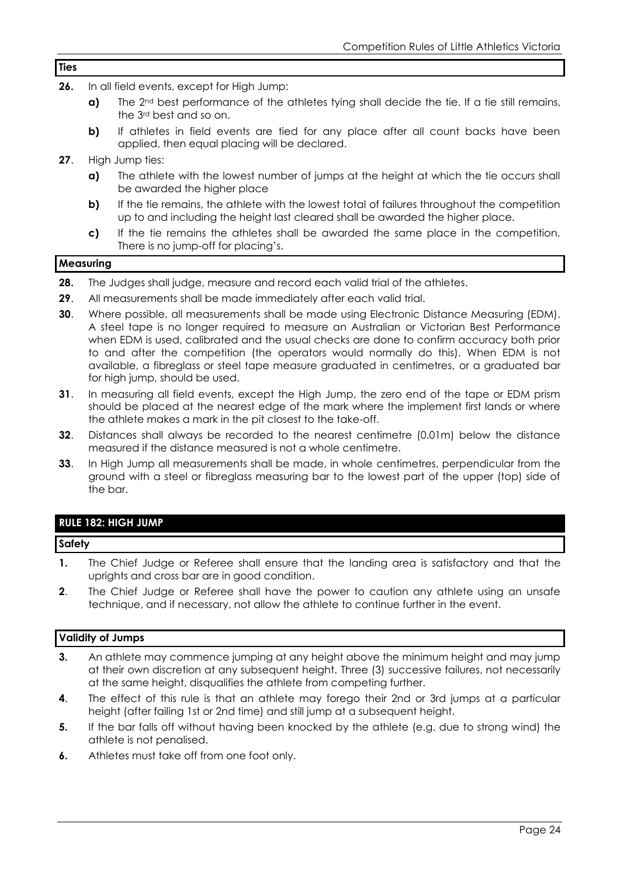#### **Ties**

- **26.** In all field events, except for High Jump:
	- **a)** The 2<sup>nd</sup> best performance of the athletes tying shall decide the tie. If a tie still remains, the 3rd best and so on.
	- **b)** If athletes in field events are tied for any place after all count backs have been applied, then equal placing will be declared.
- **27**. High Jump ties:
	- **a)** The athlete with the lowest number of jumps at the height at which the tie occurs shall be awarded the higher place
	- **b)** If the tie remains, the athlete with the lowest total of failures throughout the competition up to and including the height last cleared shall be awarded the higher place.
	- **c)** If the tie remains the athletes shall be awarded the same place in the competition. There is no jump-off for placing's.

#### **Measuring**

- **28.** The Judges shall judge, measure and record each valid trial of the athletes.
- **29**. All measurements shall be made immediately after each valid trial.
- **30**. Where possible, all measurements shall be made using Electronic Distance Measuring (EDM). A steel tape is no longer required to measure an Australian or Victorian Best Performance when EDM is used, calibrated and the usual checks are done to confirm accuracy both prior to and after the competition (the operators would normally do this). When EDM is not available, a fibreglass or steel tape measure graduated in centimetres, or a graduated bar for high jump, should be used.
- **31.** In measuring all field events, except the High Jump, the zero end of the tape or EDM prism should be placed at the nearest edge of the mark where the implement first lands or where the athlete makes a mark in the pit closest to the take-off.
- **32**. Distances shall always be recorded to the nearest centimetre (0.01m) below the distance measured if the distance measured is not a whole centimetre.
- **33**. In High Jump all measurements shall be made, in whole centimetres, perpendicular from the ground with a steel or fibreglass measuring bar to the lowest part of the upper (top) side of the bar.

#### **RULE 182: HIGH JUMP**

#### **Safety**

- **1.** The Chief Judge or Referee shall ensure that the landing area is satisfactory and that the uprights and cross bar are in good condition.
- **2**. The Chief Judge or Referee shall have the power to caution any athlete using an unsafe technique, and if necessary, not allow the athlete to continue further in the event.

#### **Validity of Jumps**

- **3.** An athlete may commence jumping at any height above the minimum height and may jump at their own discretion at any subsequent height. Three (3) successive failures, not necessarily at the same height, disqualifies the athlete from competing further.
- **4**. The effect of this rule is that an athlete may forego their 2nd or 3rd jumps at a particular height (after failing 1st or 2nd time) and still jump at a subsequent height.
- **5.** If the bar falls off without having been knocked by the athlete (e.g. due to strong wind) the athlete is not penalised.
- **6.** Athletes must take off from one foot only.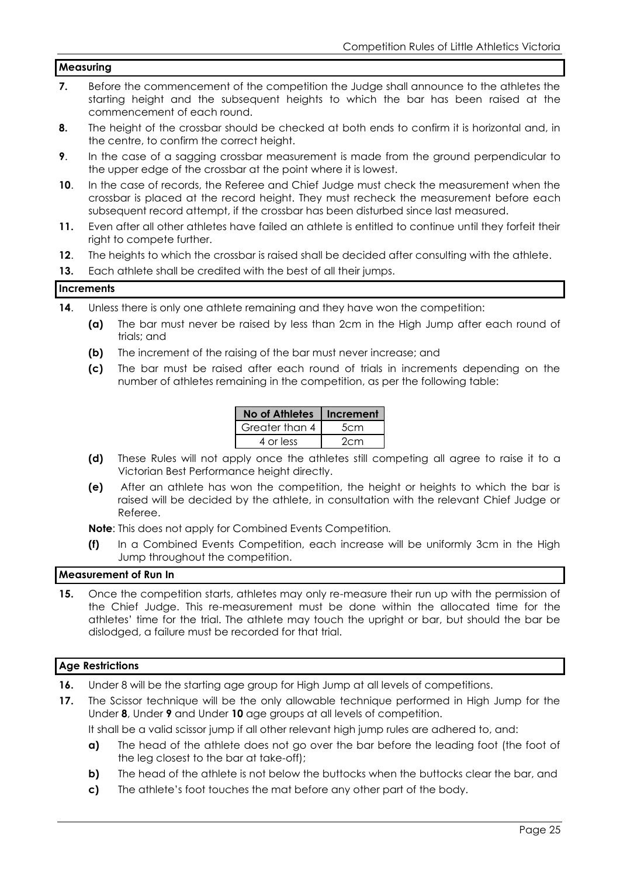#### **Measuring**

- **7.** Before the commencement of the competition the Judge shall announce to the athletes the starting height and the subsequent heights to which the bar has been raised at the commencement of each round.
- **8.** The height of the crossbar should be checked at both ends to confirm it is horizontal and, in the centre, to confirm the correct height.
- **9**. In the case of a sagging crossbar measurement is made from the ground perpendicular to the upper edge of the crossbar at the point where it is lowest.
- **10.** In the case of records, the Referee and Chief Judge must check the measurement when the crossbar is placed at the record height. They must recheck the measurement before each subsequent record attempt, if the crossbar has been disturbed since last measured.
- **11.** Even after all other athletes have failed an athlete is entitled to continue until they forfeit their right to compete further.
- **12**. The heights to which the crossbar is raised shall be decided after consulting with the athlete.
- **13.** Each athlete shall be credited with the best of all their jumps.

#### **Increments**

- **14.** Unless there is only one athlete remaining and they have won the competition:
	- **(a)** The bar must never be raised by less than 2cm in the High Jump after each round of trials; and
	- **(b)** The increment of the raising of the bar must never increase; and
	- **(c)** The bar must be raised after each round of trials in increments depending on the number of athletes remaining in the competition, as per the following table:

| <b>No of Athletes</b> | Increment |
|-----------------------|-----------|
| Greater than 4        | 5cm       |
| 4 or less             | 2cm       |

- **(d)** These Rules will not apply once the athletes still competing all agree to raise it to a Victorian Best Performance height directly.
- **(e)** After an athlete has won the competition, the height or heights to which the bar is raised will be decided by the athlete, in consultation with the relevant Chief Judge or Referee.

**Note**: This does not apply for Combined Events Competition*.*

**(f)** In a Combined Events Competition, each increase will be uniformly 3cm in the High Jump throughout the competition.

#### **Measurement of Run In**

**15.** Once the competition starts, athletes may only re-measure their run up with the permission of the Chief Judge. This re-measurement must be done within the allocated time for the athletes' time for the trial. The athlete may touch the upright or bar, but should the bar be dislodged, a failure must be recorded for that trial.

#### **Age Restrictions**

- **16.** Under 8 will be the starting age group for High Jump at all levels of competitions.
- **17.** The Scissor technique will be the only allowable technique performed in High Jump for the Under **8**, Under **9** and Under **10** age groups at all levels of competition.

It shall be a valid scissor jump if all other relevant high jump rules are adhered to, and:

- **a)** The head of the athlete does not go over the bar before the leading foot (the foot of the leg closest to the bar at take-off);
- **b)** The head of the athlete is not below the buttocks when the buttocks clear the bar, and
- **c)** The athlete's foot touches the mat before any other part of the body.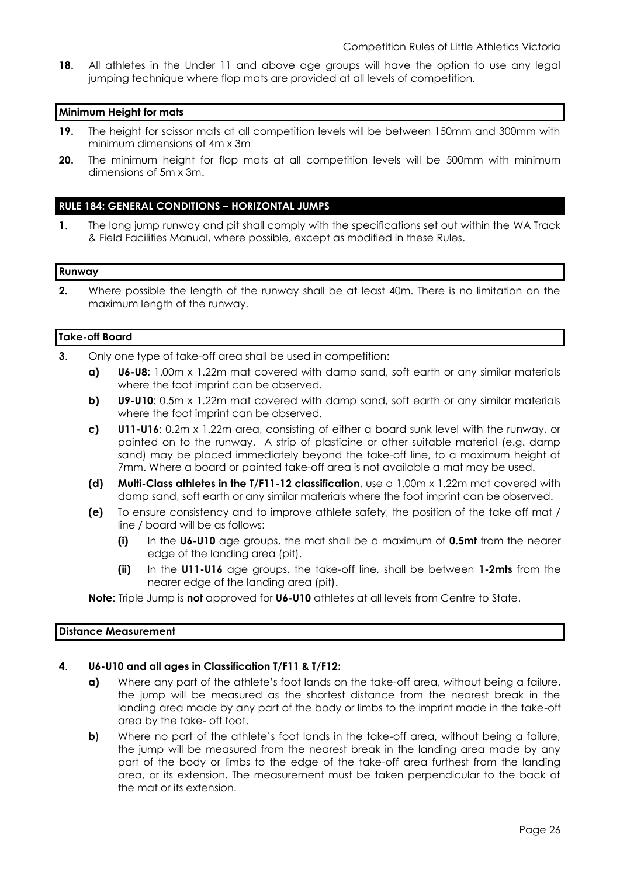**18.** All athletes in the Under 11 and above age groups will have the option to use any legal jumping technique where flop mats are provided at all levels of competition.

#### **Minimum Height for mats**

- **19.** The height for scissor mats at all competition levels will be between 150mm and 300mm with minimum dimensions of 4m x 3m
- **20.** The minimum height for flop mats at all competition levels will be 500mm with minimum dimensions of 5m x 3m.

#### **RULE 184: GENERAL CONDITIONS – HORIZONTAL JUMPS**

**1**. The long jump runway and pit shall comply with the specifications set out within the WA Track & Field Facilities Manual, where possible, except as modified in these Rules.

#### **Runway**

**2.** Where possible the length of the runway shall be at least 40m. There is no limitation on the maximum length of the runway.

#### **Take-off Board**

- **3**. Only one type of take-off area shall be used in competition:
	- **a) U6-U8:** 1.00m x 1.22m mat covered with damp sand, soft earth or any similar materials where the foot imprint can be observed.
	- **b) U9-U10**: 0.5m x 1.22m mat covered with damp sand, soft earth or any similar materials where the foot imprint can be observed.
	- **c) U11-U16**: 0.2m x 1.22m area, consisting of either a board sunk level with the runway, or painted on to the runway. A strip of plasticine or other suitable material (e.g. damp sand) may be placed immediately beyond the take-off line, to a maximum height of 7mm. Where a board or painted take-off area is not available a mat may be used.
	- **(d) Multi-Class athletes in the T/F11-12 classification**, use a 1.00m x 1.22m mat covered with damp sand, soft earth or any similar materials where the foot imprint can be observed.
	- **(e)** To ensure consistency and to improve athlete safety, the position of the take off mat / line / board will be as follows:
		- **(i)** In the **U6-U10** age groups, the mat shall be a maximum of **0.5mt** from the nearer edge of the landing area (pit).
		- **(ii)** In the **U11-U16** age groups, the take-off line, shall be between **1-2mts** from the nearer edge of the landing area (pit).

**Note**: Triple Jump is **not** approved for **U6-U10** athletes at all levels from Centre to State.

#### **Distance Measurement**

#### **4**. **U6-U10 and all ages in Classification T/F11 & T/F12:**

- **a)** Where any part of the athlete's foot lands on the take-off area, without being a failure, the jump will be measured as the shortest distance from the nearest break in the landing area made by any part of the body or limbs to the imprint made in the take-off area by the take- off foot.
- **b**) Where no part of the athlete's foot lands in the take-off area, without being a failure, the jump will be measured from the nearest break in the landing area made by any part of the body or limbs to the edge of the take-off area furthest from the landing area, or its extension. The measurement must be taken perpendicular to the back of the mat or its extension.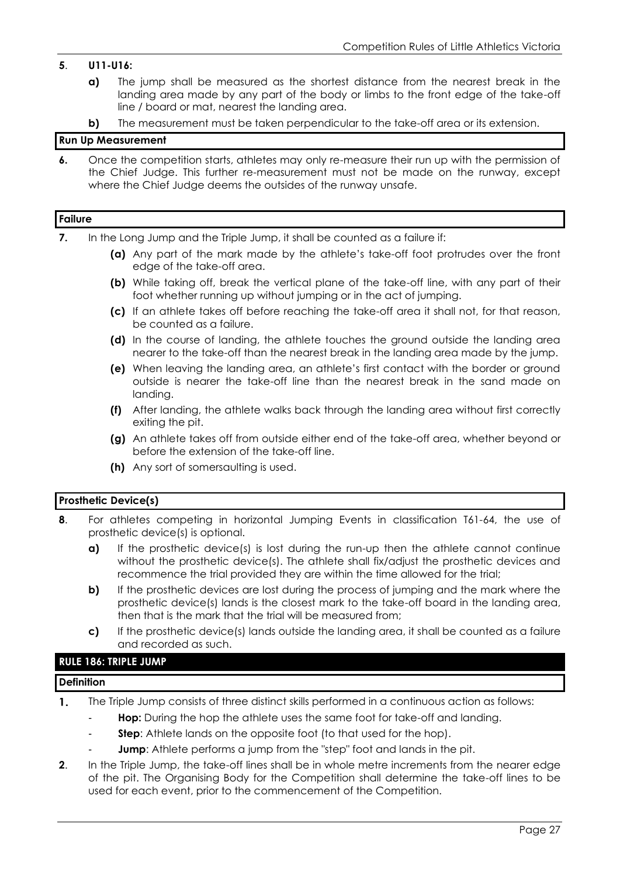#### **5**. **U11-U16:**

- **a)** The jump shall be measured as the shortest distance from the nearest break in the landing area made by any part of the body or limbs to the front edge of the take-off line / board or mat, nearest the landing area.
- **b)** The measurement must be taken perpendicular to the take-off area or its extension.

#### **Run Up Measurement**

**6.** Once the competition starts, athletes may only re-measure their run up with the permission of the Chief Judge. This further re-measurement must not be made on the runway, except where the Chief Judge deems the outsides of the runway unsafe.

#### **Failure**

- **7.** In the Long Jump and the Triple Jump, it shall be counted as a failure if:
	- **(a)** Any part of the mark made by the athlete's take-off foot protrudes over the front edge of the take-off area.
	- **(b)** While taking off, break the vertical plane of the take-off line, with any part of their foot whether running up without jumping or in the act of jumping.
	- **(c)** If an athlete takes off before reaching the take-off area it shall not, for that reason, be counted as a failure.
	- **(d)** In the course of landing, the athlete touches the ground outside the landing area nearer to the take-off than the nearest break in the landing area made by the jump.
	- **(e)** When leaving the landing area, an athlete's first contact with the border or ground outside is nearer the take-off line than the nearest break in the sand made on landing.
	- **(f)** After landing, the athlete walks back through the landing area without first correctly exiting the pit.
	- **(g)** An athlete takes off from outside either end of the take-off area, whether beyond or before the extension of the take-off line.
	- **(h)** Any sort of somersaulting is used.

#### **Prosthetic Device(s)**

- **8**. For athletes competing in horizontal Jumping Events in classification T61-64, the use of prosthetic device(s) is optional.
	- **a)** If the prosthetic device(s) is lost during the run-up then the athlete cannot continue without the prosthetic device(s). The athlete shall fix/adjust the prosthetic devices and recommence the trial provided they are within the time allowed for the trial;
	- **b)** If the prosthetic devices are lost during the process of jumping and the mark where the prosthetic device(s) lands is the closest mark to the take-off board in the landing area, then that is the mark that the trial will be measured from;
	- **c)** If the prosthetic device(s) lands outside the landing area, it shall be counted as a failure and recorded as such.

#### **RULE 186: TRIPLE JUMP**

#### **Definition**

- The Triple Jump consists of three distinct skills performed in a continuous action as follows:  $\mathbf{1}$ .
	- **Hop:** During the hop the athlete uses the same foot for take-off and landing.
	- **Step:** Athlete lands on the opposite foot (to that used for the hop).
	- **Jump**: Athlete performs a jump from the "step" foot and lands in the pit.
- **2.** In the Triple Jump, the take-off lines shall be in whole metre increments from the nearer edge of the pit. The Organising Body for the Competition shall determine the take-off lines to be used for each event, prior to the commencement of the Competition.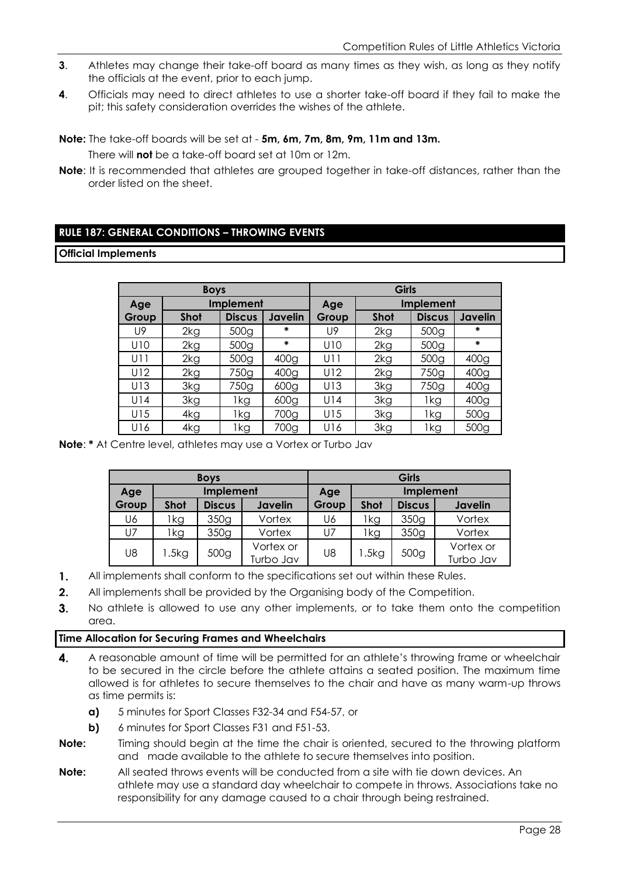- **3**. Athletes may change their take-off board as many times as they wish, as long as they notify the officials at the event, prior to each jump.
- **4**. Officials may need to direct athletes to use a shorter take-off board if they fail to make the pit; this safety consideration overrides the wishes of the athlete.
- **Note:** The take-off boards will be set at **5m, 6m, 7m, 8m, 9m, 11m and 13m.**

There will **not** be a take-off board set at 10m or 12m.

**Note**: It is recommended that athletes are grouped together in take-off distances, rather than the order listed on the sheet.

#### **RULE 187: GENERAL CONDITIONS – THROWING EVENTS**

#### **Official Implements**

|       | <b>Boys</b>      |                  |                  | Girls |             |               |                  |  |
|-------|------------------|------------------|------------------|-------|-------------|---------------|------------------|--|
| Age   | <b>Implement</b> |                  |                  | Age   | Implement   |               |                  |  |
| Group | <b>Shot</b>      | <b>Discus</b>    | Javelin          | Group | <b>Shot</b> | <b>Discus</b> | Javelin          |  |
| U9    | 2kg              | 500 <sub>g</sub> | $\ast$           | U9    | 2kg         | 500g          | $\ast$           |  |
| U10   | 2kg              | 500 <sub>g</sub> | $\ast$           | U10   | 2kg         | 500g          | $\ast$           |  |
| U11   | 2kg              | 500 <sub>g</sub> | 400g             | U11   | 2kg         | 500g          | 400 <sub>g</sub> |  |
| U12   | 2kg              | 750g             | 400 <sub>g</sub> | U12   | 2kg         | 750g          | 400 <sub>g</sub> |  |
| U13   | 3kg              | 750g             | 600g             | U13   | 3kg         | 750g          | 400 <sub>g</sub> |  |
| U14   | 3kg              | 1kg              | 600 <sub>g</sub> | U14   | 3kg         | 1kg           | 400 <sub>g</sub> |  |
| U15   | 4kg              | 1kg              | 700g             | U15   | 3kg         | 1kg           | 500g             |  |
| U16   | 4kg              | 1kg              | 700g             | U16   | 3kg         | 1kg           | 500 <sub>g</sub> |  |

**Note**: **\*** At Centre level, athletes may use a Vortex or Turbo Jav

|       |               | <b>Boys</b>   |           | Girls |             |                  |           |
|-------|---------------|---------------|-----------|-------|-------------|------------------|-----------|
| Age   | Implement     |               |           | Age   |             | <b>Implement</b> |           |
| Group | <b>Shot</b>   | <b>Discus</b> | Javelin   | Group | <b>Shot</b> | <b>Discus</b>    | Javelin   |
| U6    | Ikg           | 350g          | Vortex    | U6    | lkg         | 350g             | Vortex    |
| U7    | lkg           | 350g          | Vortex    | U7    | 1kg         | 350g             | Vortex    |
| U8    | 500g<br>l.5kg | Vortex or     | U8        | 5kg   | 500g        | Vortex or        |           |
|       |               |               | Turbo Jav |       |             |                  | Turbo Jav |

- $\mathbf{1}$ . All implements shall conform to the specifications set out within these Rules.
- $2.$ All implements shall be provided by the Organising body of the Competition.
- $3<sub>1</sub>$ No athlete is allowed to use any other implements, or to take them onto the competition area.

#### **Time Allocation for Securing Frames and Wheelchairs**

- $\overline{4}$ . A reasonable amount of time will be permitted for an athlete's throwing frame or wheelchair to be secured in the circle before the athlete attains a seated position. The maximum time allowed is for athletes to secure themselves to the chair and have as many warm-up throws as time permits is:
	- **a)** 5 minutes for Sport Classes F32-34 and F54-57, or
	- **b)** 6 minutes for Sport Classes F31 and F51-53.
- **Note:** Timing should begin at the time the chair is oriented, secured to the throwing platform and made available to the athlete to secure themselves into position.
- **Note:** All seated throws events will be conducted from a site with tie down devices. An athlete may use a standard day wheelchair to compete in throws. Associations take no responsibility for any damage caused to a chair through being restrained.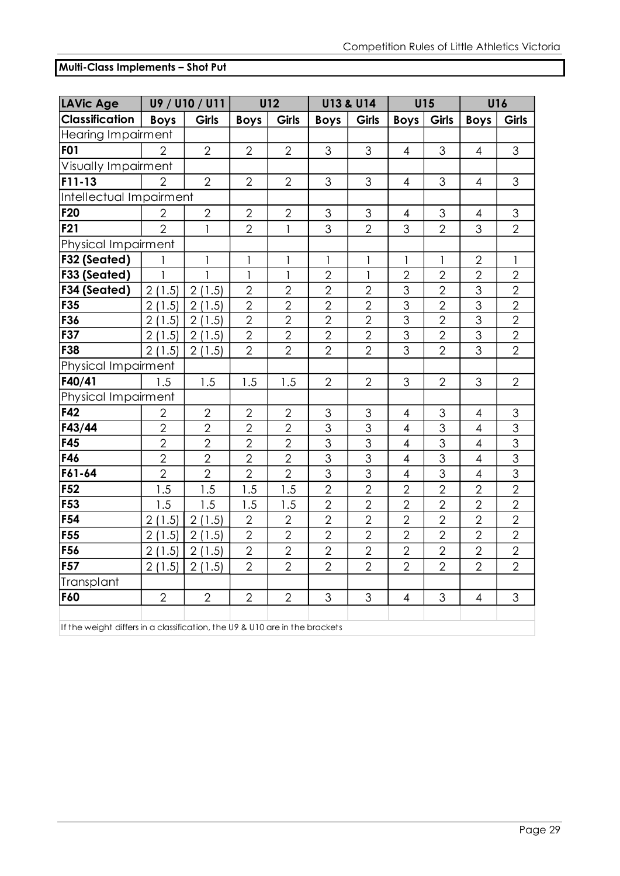### **Multi-Class Implements – Shot Put**

| <b>LAVic Age</b>                                                                |                         | U9 / U10 / U11 |                | <b>U12</b>     |                | <b>U13 &amp; U14</b> | U15                      |                | U16            |                |
|---------------------------------------------------------------------------------|-------------------------|----------------|----------------|----------------|----------------|----------------------|--------------------------|----------------|----------------|----------------|
| <b>Classification</b>                                                           | <b>Boys</b>             | <b>Girls</b>   | <b>Boys</b>    | <b>Girls</b>   | <b>Boys</b>    | <b>Girls</b>         | <b>Boys</b>              | Girls          | <b>Boys</b>    | Girls          |
| <b>Hearing Impairment</b>                                                       |                         |                |                |                |                |                      |                          |                |                |                |
| <b>F01</b>                                                                      | $\overline{2}$          | $\overline{2}$ | $\overline{2}$ | $\overline{2}$ | 3              | $\mathfrak{S}$       | $\overline{4}$           | 3              | $\overline{4}$ | 3              |
| Visually Impairment                                                             |                         |                |                |                |                |                      |                          |                |                |                |
| $F11-13$                                                                        | $\overline{2}$          | 2              | $\overline{2}$ | $\overline{2}$ | 3              | 3                    | $\overline{4}$           | 3              | $\overline{4}$ | 3              |
| Intellectual Impairment                                                         |                         |                |                |                |                |                      |                          |                |                |                |
| F <sub>20</sub>                                                                 | $\overline{2}$          | $\overline{2}$ | $\overline{2}$ | $\overline{2}$ | 3              | 3                    | $\overline{4}$           | 3              | $\overline{4}$ | 3              |
| F <sub>21</sub>                                                                 | $\overline{2}$          | $\mathbf{1}$   | $\sqrt{2}$     | $\mathbf{1}$   | 3              | $\overline{2}$       | 3                        | $\overline{2}$ | 3              | $\overline{2}$ |
| Physical Impairment                                                             |                         |                |                |                |                |                      |                          |                |                |                |
| F32 (Seated)                                                                    | 1                       | 1              | 1              | 1              | 1              | 1                    | 1                        | 1              | $\mathbf{2}$   | 1              |
| F33 (Seated)                                                                    | 1                       | $\mathbf{1}$   | 1              | $\mathbf{1}$   | $\overline{2}$ | 1                    | $\overline{2}$           | $\overline{2}$ | $\overline{2}$ | $\sqrt{2}$     |
| F34 (Seated)                                                                    | 2(1.5)                  | 2(1.5)         | $\overline{2}$ | $\overline{2}$ | $\overline{2}$ | $\overline{2}$       | 3                        | $\overline{2}$ | 3              | $\overline{2}$ |
| F35                                                                             | 2(1.5)                  | 2(1.5)         | $\overline{2}$ | $\overline{2}$ | $\overline{2}$ | $\overline{2}$       | 3                        | $\overline{2}$ | 3              | $\overline{2}$ |
| F36                                                                             | 2(1.5)                  | 2(1.5)         | $\overline{2}$ | $\overline{2}$ | $\overline{2}$ | $\overline{2}$       | 3                        | $\overline{2}$ | 3              | $\overline{2}$ |
| F37                                                                             | 2(1.5)                  | 2(1.5)         | $\overline{2}$ | $\overline{2}$ | $\overline{2}$ | $\overline{2}$       | 3                        | $\overline{2}$ | 3              | $\overline{2}$ |
| F38                                                                             | 2(1.5)                  | 2(1.5)         | $\overline{2}$ | $\overline{2}$ | $\overline{2}$ | $\overline{2}$       | $\overline{3}$           | $\overline{2}$ | $\overline{3}$ | $\overline{2}$ |
| Physical Impairment                                                             |                         |                |                |                |                |                      |                          |                |                |                |
| F40/41                                                                          | 1.5                     | 1.5            | 1.5            | 1.5            | $\overline{2}$ | $\overline{2}$       | 3                        | $\overline{2}$ | 3              | $\overline{2}$ |
| Physical Impairment                                                             |                         |                |                |                |                |                      |                          |                |                |                |
| F42                                                                             | $\overline{2}$          | $\overline{2}$ | $\overline{2}$ | $\overline{2}$ | 3              | 3                    | $\overline{4}$           | 3              | $\overline{4}$ | 3              |
| F43/44                                                                          | $\overline{2}$          | $\overline{2}$ | $\overline{2}$ | $\overline{2}$ | 3              | 3                    | $\overline{4}$           | 3              | $\overline{4}$ | 3              |
| F45                                                                             | $\overline{2}$          | $\overline{2}$ | $\overline{2}$ | $\overline{2}$ | 3              | 3                    | $\overline{4}$           | 3              | $\overline{4}$ | 3              |
| F46                                                                             | $\overline{2}$          | $\overline{2}$ | $\overline{2}$ | $\overline{2}$ | $\overline{3}$ | 3                    | $\overline{4}$           | $\overline{3}$ | $\overline{4}$ | 3              |
| F61-64                                                                          | $\overline{2}$          | $\overline{2}$ | $\overline{2}$ | $\overline{2}$ | $\overline{3}$ | 3                    | $\overline{\mathcal{A}}$ | $\overline{3}$ | $\overline{4}$ | 3              |
| F <sub>52</sub>                                                                 | 1.5                     | 1.5            | 1.5            | 1.5            | $\overline{2}$ | $\overline{2}$       | $\overline{2}$           | $\overline{2}$ | $\overline{2}$ | $\overline{2}$ |
| F53                                                                             | 1.5                     | 1.5            | 1.5            | 1.5            | $\overline{2}$ | $\overline{2}$       | $\overline{2}$           | $\overline{2}$ | $\overline{2}$ | $\overline{2}$ |
| F <sub>54</sub>                                                                 | $\overline{2}$<br>(1.5) | 2(1.5)         | $\overline{2}$ | $\overline{2}$ | $\overline{2}$ | $\overline{2}$       | $\overline{2}$           | $\overline{2}$ | $\overline{2}$ | $\overline{2}$ |
| F <sub>55</sub>                                                                 | 2(1.5)                  | 2(1.5)         | $\overline{2}$ | $\overline{2}$ | $\overline{2}$ | $\overline{2}$       | $\overline{2}$           | $\overline{2}$ | $\overline{2}$ | $\overline{2}$ |
| F56                                                                             | 1.5<br>$\overline{2}$   | 2(1.5)         | $\overline{2}$ | $\overline{2}$ | $\overline{2}$ | $\overline{2}$       | $\overline{2}$           | $\overline{2}$ | $\overline{2}$ | $\overline{2}$ |
| F <sub>57</sub>                                                                 | 2(1.5)                  | 2(1.5)         | $\overline{2}$ | $\overline{2}$ | $\overline{2}$ | $\overline{2}$       | $\overline{2}$           | $\overline{2}$ | $\overline{2}$ | $\overline{2}$ |
| Transplant                                                                      |                         |                |                |                |                |                      |                          |                |                |                |
| F60                                                                             | $\overline{2}$          | $\overline{2}$ | $\overline{2}$ | $\overline{2}$ | 3              | 3                    | $\overline{4}$           | 3              | 4              | 3              |
| If the words differe in a elementication the $110.8$ $1110$ are in the brackets |                         |                |                |                |                |                      |                          |                |                |                |

If the weight differs in a classification, the U9 & U10 are in the brackets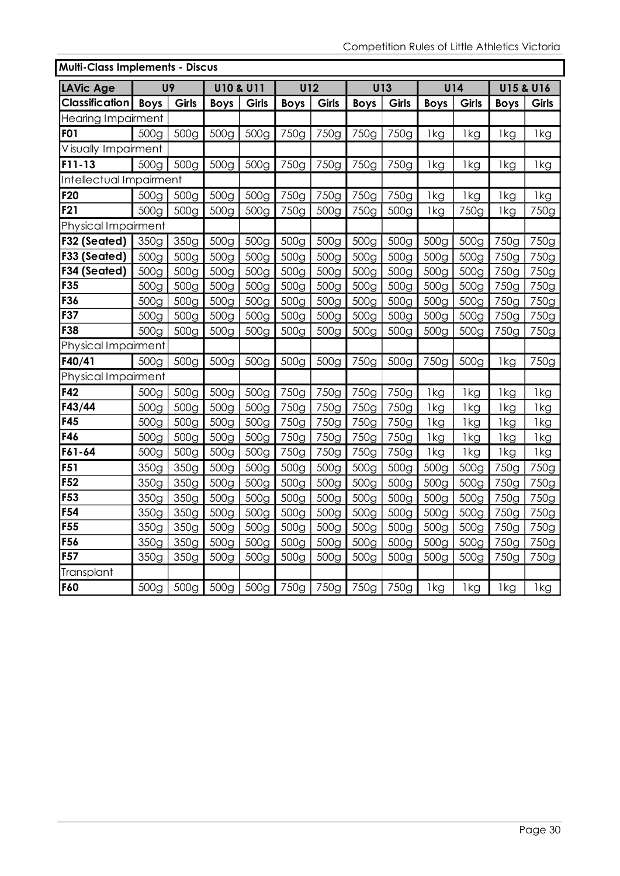| <b>Multi-Class Implements - Discus</b> |                  |                  |                      |                  |                  |                  |                  |                  |                  |                  |             |                      |
|----------------------------------------|------------------|------------------|----------------------|------------------|------------------|------------------|------------------|------------------|------------------|------------------|-------------|----------------------|
| LAVic Age                              |                  | U <sub>9</sub>   | <b>U10 &amp; U11</b> |                  | <b>U12</b>       |                  |                  | U13              |                  | U14              |             | <b>U15 &amp; U16</b> |
| Classification                         | <b>Boys</b>      | Girls            | <b>Boys</b>          | Girls            | <b>Boys</b>      | Girls            | <b>Boys</b>      | Girls            | <b>Boys</b>      | Girls            | <b>Boys</b> | Girls                |
| <b>Hearing Impairment</b>              |                  |                  |                      |                  |                  |                  |                  |                  |                  |                  |             |                      |
| <b>F01</b>                             | 500g             | 500g             | 500g                 | 500g             | 750g             | 750g             | 750g             | 750g             | 1kg              | 1kg              | 1kg         | 1kg                  |
| Visually Impairment                    |                  |                  |                      |                  |                  |                  |                  |                  |                  |                  |             |                      |
| $F11-13$                               | 500g             | 500g             | 500g                 | 500g             | 750g             | 750g             | 750g             | 750g             | 1kg              | 1kg              | 1kg         | 1kg                  |
| Intellectual Impairment                |                  |                  |                      |                  |                  |                  |                  |                  |                  |                  |             |                      |
| F <sub>20</sub>                        | 500g             | 500g             | 500g                 | 500g             | 750g             | 750g             | 750g             | 750g             | 1kg              | 1kg              | 1kg         | 1kg                  |
| <b>F21</b>                             | 500g             | 500g             | 500g                 | 500g             | 750g             | 500g             | 750g             | 500g             | 1kg              | 750g             | 1kg         | 750g                 |
| Physical Impairment                    |                  |                  |                      |                  |                  |                  |                  |                  |                  |                  |             |                      |
| F32 (Seated)                           | 350g             | 350g             | 500g                 | 500g             | 500g             | 500g             | 500 <sub>g</sub> | 500g             | 500g             | 500g             | 750g        | 750g                 |
| F33 (Seated)                           | 500g             | 500g             | 500 <sub>g</sub>     | 500g             | 500g             | 500g             | 500g             | 500g             | 500 <sub>g</sub> | 500g             | 750g        | 750g                 |
| F34 (Seated)                           | 500 <sub>g</sub> | 500g             | 500g                 | 500g             | 500g             | 500g             | 500g             | 500g             | 500 <sub>g</sub> | 500g             | 750g        | 750g                 |
| F35                                    | 500 <sub>g</sub> | 500 <sub>g</sub> | 500 <sub>g</sub>     | 500g             | 500g             | 500g             | 500 <sub>g</sub> | 500g             | 500 <sub>g</sub> | 500 <sub>g</sub> | 750g        | 750g                 |
| F36                                    | 500 <sub>g</sub> | 500 <sub>g</sub> | 500g                 | 500g             | 500 <sub>g</sub> | 500g             | 500g             | 500g             | 500 <sub>g</sub> | 500g             | 750g        | 750g                 |
| F37                                    | 500 <sub>g</sub> | 500 <sub>g</sub> | 500 <sub>g</sub>     | 500 <sub>g</sub> | 500 <sub>g</sub> | 500 <sub>g</sub> | 500 <sub>g</sub> | 500 <sub>g</sub> | 500 <sub>g</sub> | 500g             | 750g        | 750g                 |
| F38                                    | 500g             | 500g             | 500g                 | 500g             | 500g             | 500g             | 500g             | 500g             | 500g             | 500g             | 750g        | 750g                 |
| Physical Impairment                    |                  |                  |                      |                  |                  |                  |                  |                  |                  |                  |             |                      |
| F40/41                                 | 500 <sub>g</sub> | 500 <sub>g</sub> | 500g                 | 500g             | 500 <sub>g</sub> | 500 <sub>g</sub> | 750g             | 500 <sub>g</sub> | 750g             | 500 <sub>g</sub> | 1kg         | 750g                 |
| Physical Impairment                    |                  |                  |                      |                  |                  |                  |                  |                  |                  |                  |             |                      |
| F42                                    | 500g             | 500g             | 500g                 | 500g             | 750g             | 750g             | 750g             | 750g             | 1kg              | 1kg              | 1kg         | 1kg                  |
| F43/44                                 | 500g             | 500 <sub>g</sub> | 500 <sub>g</sub>     | 500g             | 750g             | 750g             | 750g             | 750g             | 1kg              | 1kg              | 1kg         | 1kg                  |
| F45                                    | 500 <sub>g</sub> | 500 <sub>g</sub> | 500 <sub>g</sub>     | 500 <sub>g</sub> | 750g             | 750g             | 750g             | 750g             | 1kg              | 1kg              | 1kg         | 1kg                  |
| F46                                    | 500g             | 500g             | 500g                 | 500g             | 750g             | 750g             | 750g             | 750g             | 1kg              | 1kg              | 1kg         | 1kg                  |
| F61-64                                 | 500g             | 500g             | 500g                 | 500g             | 750g             | 750g             | 750g             | 750g             | 1kg              | 1kg              | 1kg         | 1kg                  |
| <b>F51</b>                             | 350g             | 350g             | 500g                 | 500 <sub>g</sub> | 500g             | 500g             | 500 <sub>g</sub> | 500 <sub>g</sub> | 500 <sub>g</sub> | 500g             | 750g        | 750g                 |
| F <sub>52</sub>                        | 350g             | 350g             | 500g                 | 500 <sub>g</sub> | 500 <sub>g</sub> | 500 <sub>g</sub> | 500 <sub>g</sub> | 500 <sub>g</sub> | 500 <sub>g</sub> | 500g             | 750g        | 750g                 |
| F53                                    | 350g             | 350g             | 500g                 | 500g             | 500g             | 500g             | 500g             | 500g             | 500g             | 500g             | 750g        | 750g                 |
| F54                                    | 350g             | 350g             | 500g                 | 500g             | 500g             | 500g             | 500 <sub>g</sub> | 500 <sub>g</sub> | 500g             | 500 <sub>g</sub> | 750g        | 750g                 |
| F55                                    | 350g             | 350g             | 500 <sub>g</sub>     | 500 <sub>g</sub> | 500 <sub>g</sub> | 500 <sub>g</sub> | 500g             | 500g             | 500g             | 500 <sub>g</sub> | 750g        | 750g                 |
| F56                                    | 350g             | 350g             | 500g                 | 500g             | 500 <sub>g</sub> | 500g             | 500g             | 500g             | 500 <sub>g</sub> | 500g             | 750g        | 750g                 |
| <b>F57</b>                             | 350g             | 350g             | 500g                 | 500 <sub>g</sub> | 500g             | 500 <sub>g</sub> | 500g             | 500 <sub>g</sub> | 500 <sub>g</sub> | 500 <sub>g</sub> | 750g        | 750g                 |
| Transplant                             |                  |                  |                      |                  |                  |                  |                  |                  |                  |                  |             |                      |
| F60                                    | 500g             | 500g             | 500g                 | 500g             | 750g             | 750g             | 750g             | 750g             | 1kg              | 1kg              | 1kg         | 1kg                  |

# **Multi-Class Implements - Discus**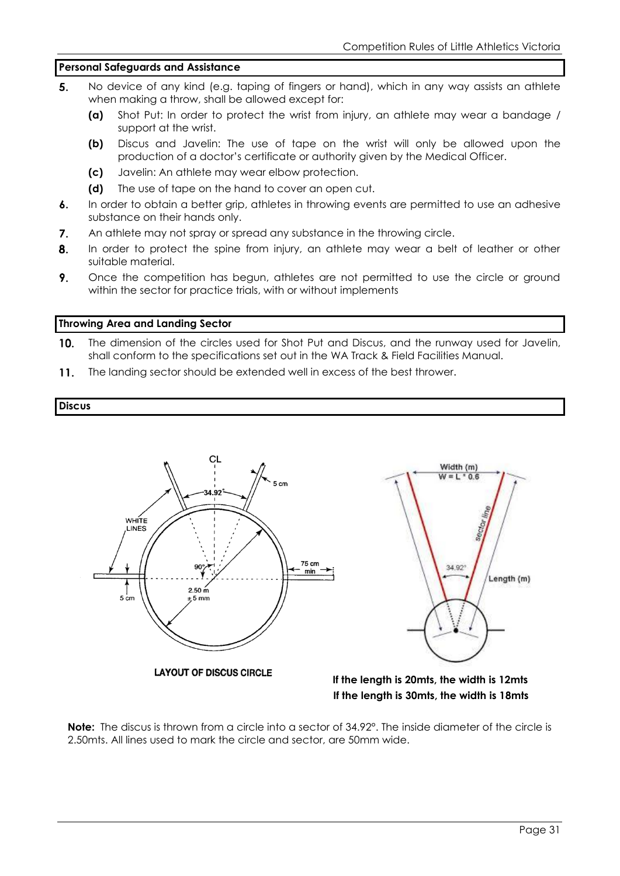#### **Personal Safeguards and Assistance**

- $5<sub>1</sub>$ No device of any kind (e.g. taping of fingers or hand), which in any way assists an athlete when making a throw, shall be allowed except for:
	- **(a)** Shot Put: In order to protect the wrist from injury, an athlete may wear a bandage / support at the wrist.
	- **(b)** Discus and Javelin: The use of tape on the wrist will only be allowed upon the production of a doctor's certificate or authority given by the Medical Officer.
	- **(c)** Javelin: An athlete may wear elbow protection.
	- **(d)** The use of tape on the hand to cover an open cut.
- $6.$ In order to obtain a better grip, athletes in throwing events are permitted to use an adhesive substance on their hands only.
- $7.$ An athlete may not spray or spread any substance in the throwing circle.
- $\mathbf{R}$ In order to protect the spine from injury, an athlete may wear a belt of leather or other suitable material.
- 9. Once the competition has begun, athletes are not permitted to use the circle or ground within the sector for practice trials, with or without implements

#### **Throwing Area and Landing Sector**

- $10.$ The dimension of the circles used for Shot Put and Discus, and the runway used for Javelin, shall conform to the specifications set out in the WA Track & Field Facilities Manual.
- The landing sector should be extended well in excess of the best thrower.  $11.$

#### **Discus**





 **If the length is 30mts, the width is 18mts**

**Note:** The discus is thrown from a circle into a sector of 34.92°. The inside diameter of the circle is 2.50mts. All lines used to mark the circle and sector, are 50mm wide.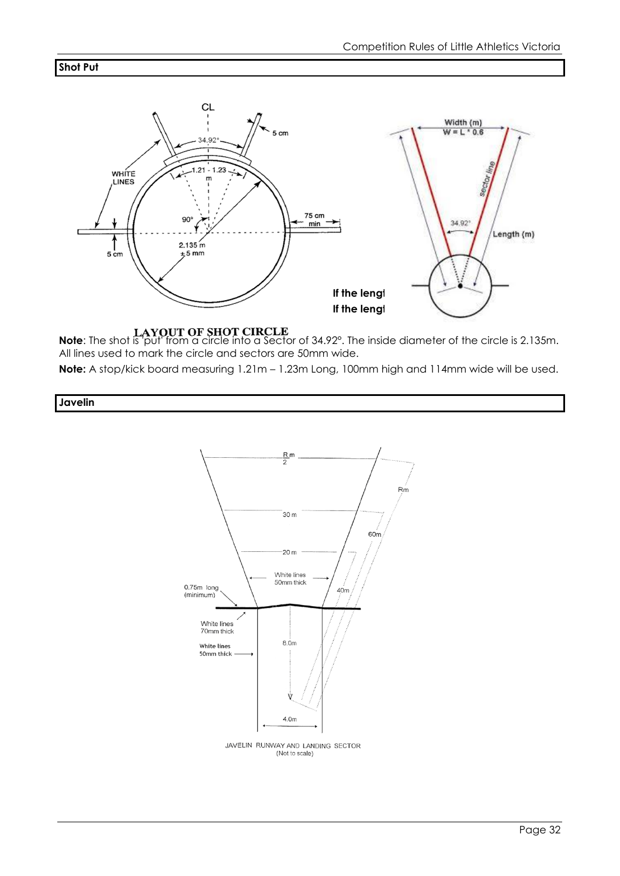#### **Shot Put**



# **Note**: The shot is 'put' from a circle into a Sector of 34.92°. The inside diameter of the circle is 2.135m. All lines used to mark the circle and sectors are 50mm wide.

**Note:** A stop/kick board measuring 1.21m – 1.23m Long, 100mm high and 114mm wide will be used.

**Javelin**



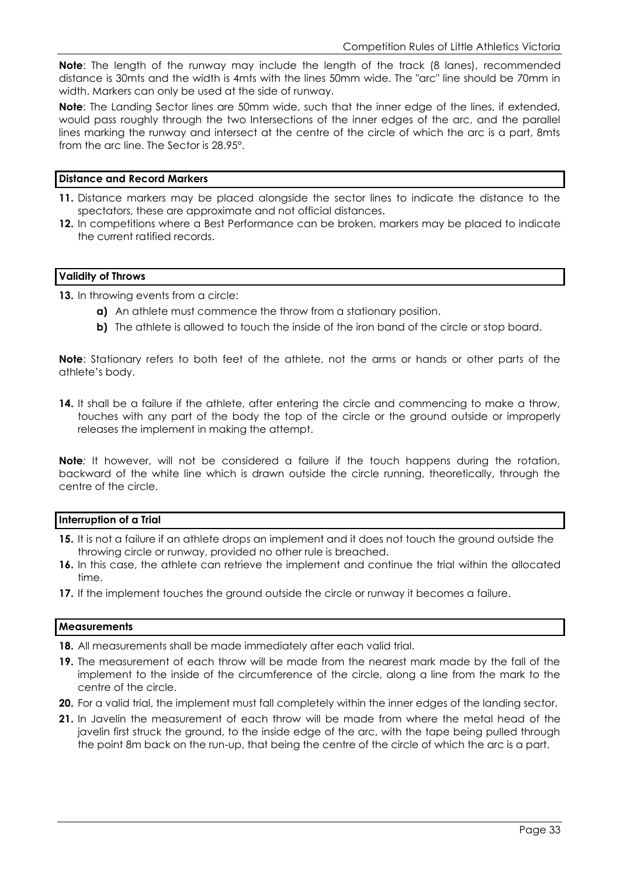**Note**: The length of the runway may include the length of the track (8 lanes), recommended distance is 30mts and the width is 4mts with the lines 50mm wide. The "arc" line should be 70mm in width. Markers can only be used at the side of runway.

**Note**: The Landing Sector lines are 50mm wide, such that the inner edge of the lines, if extended, would pass roughly through the two Intersections of the inner edges of the arc, and the parallel lines marking the runway and intersect at the centre of the circle of which the arc is a part, 8mts from the arc line. The Sector is 28.95°.

#### **Distance and Record Markers**

- **11.** Distance markers may be placed alongside the sector lines to indicate the distance to the spectators, these are approximate and not official distances.
- **12.** In competitions where a Best Performance can be broken, markers may be placed to indicate the current ratified records.

#### **Validity of Throws**

**13.** In throwing events from a circle:

- **a)** An athlete must commence the throw from a stationary position.
- **b)** The athlete is allowed to touch the inside of the iron band of the circle or stop board.

**Note**: Stationary refers to both feet of the athlete, not the arms or hands or other parts of the athlete's body.

14. It shall be a failure if the athlete, after entering the circle and commencing to make a throw, touches with any part of the body the top of the circle or the ground outside or improperly releases the implement in making the attempt.

**Note***:* It however, will not be considered a failure if the touch happens during the rotation, backward of the white line which is drawn outside the circle running, theoretically, through the centre of the circle.

#### **Interruption of a Trial**

- **15.** It is not a failure if an athlete drops an implement and it does not touch the ground outside the throwing circle or runway, provided no other rule is breached.
- **16.** In this case, the athlete can retrieve the implement and continue the trial within the allocated time.
- **17.** If the implement touches the ground outside the circle or runway it becomes a failure.

#### **Measurements**

- **18.** All measurements shall be made immediately after each valid trial.
- **19.** The measurement of each throw will be made from the nearest mark made by the fall of the implement to the inside of the circumference of the circle, along a line from the mark to the centre of the circle.
- **20.** For a valid trial, the implement must fall completely within the inner edges of the landing sector.
- **21.** In Javelin the measurement of each throw will be made from where the metal head of the javelin first struck the ground, to the inside edge of the arc, with the tape being pulled through the point 8m back on the run-up, that being the centre of the circle of which the arc is a part.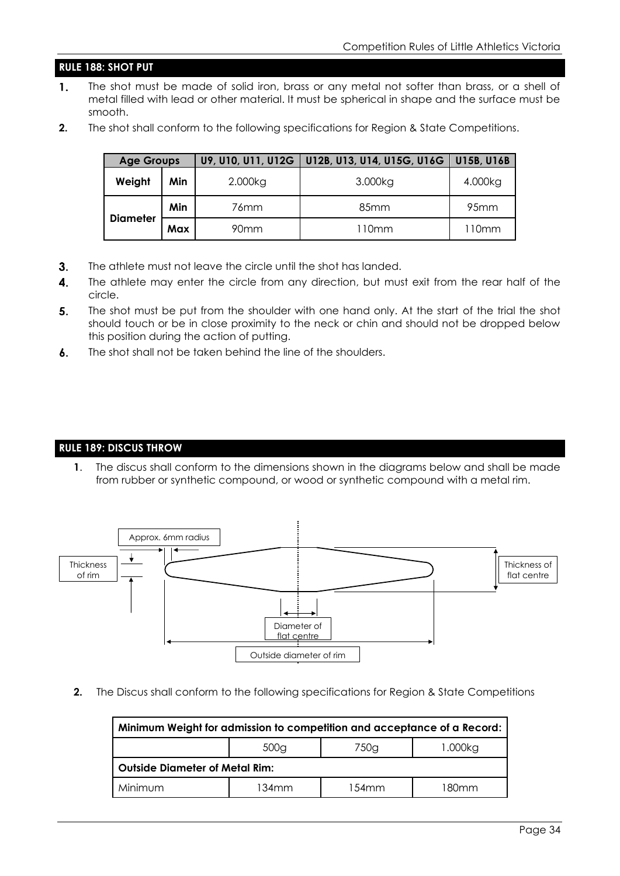#### **RULE 188: SHOT PUT**

- $\mathbf{1}$ . The shot must be made of solid iron, brass or any metal not softer than brass, or a shell of metal filled with lead or other material. It must be spherical in shape and the surface must be smooth.
- **2.** The shot shall conform to the following specifications for Region & State Competitions.

|                 | <b>Age Groups</b> |                  | U9, U10, U11, U12G   U12B, U13, U14, U15G, U16G   U15B, U16B |                  |
|-----------------|-------------------|------------------|--------------------------------------------------------------|------------------|
| Weight          | Min               | 2.000kg          | 3.000kg                                                      | 4.000kg          |
|                 | Min               | 76mm             | 85 <sub>mm</sub>                                             | 95 <sub>mm</sub> |
| <b>Diameter</b> | Max               | 90 <sub>mm</sub> | 110mm                                                        | 110mm            |

- $3.$ The athlete must not leave the circle until the shot has landed.
- 4. The athlete may enter the circle from any direction, but must exit from the rear half of the circle.
- 5. The shot must be put from the shoulder with one hand only. At the start of the trial the shot should touch or be in close proximity to the neck or chin and should not be dropped below this position during the action of putting.
- The shot shall not be taken behind the line of the shoulders.  $6.$

#### **RULE 189: DISCUS THROW**

**1**. The discus shall conform to the dimensions shown in the diagrams below and shall be made from rubber or synthetic compound, or wood or synthetic compound with a metal rim.



**2.** The Discus shall conform to the following specifications for Region & State Competitions

| Minimum Weight for admission to competition and acceptance of a Record: |       |       |       |  |  |
|-------------------------------------------------------------------------|-------|-------|-------|--|--|
| 500 <sub>g</sub><br>750g<br>1.000kg                                     |       |       |       |  |  |
| <b>Outside Diameter of Metal Rim:</b>                                   |       |       |       |  |  |
| Minimum                                                                 | 134mm | 154mm | 180mm |  |  |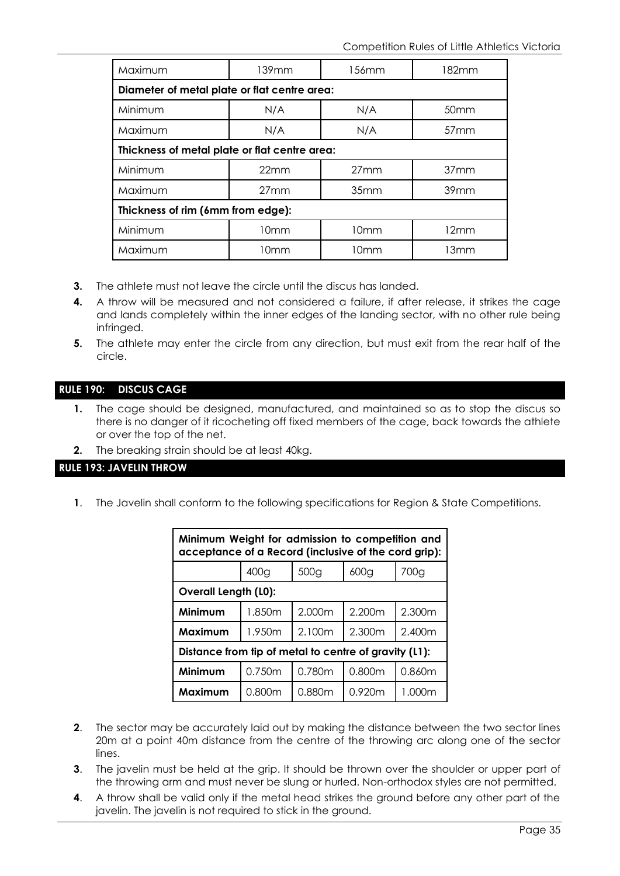| Maximum                                      | $139$ mm                                      | 156 <sub>mm</sub> | 182mm            |  |  |  |
|----------------------------------------------|-----------------------------------------------|-------------------|------------------|--|--|--|
| Diameter of metal plate or flat centre area: |                                               |                   |                  |  |  |  |
| Minimum                                      | N/A                                           | N/A               | 50mm             |  |  |  |
| Maximum                                      | N/A                                           | N/A               | 57 <sub>mm</sub> |  |  |  |
|                                              | Thickness of metal plate or flat centre area: |                   |                  |  |  |  |
| Minimum                                      | 22mm                                          | 27mm              | 37 <sub>mm</sub> |  |  |  |
| Maximum                                      | 27mm                                          | 35mm              | 39 <sub>mm</sub> |  |  |  |
| Thickness of rim (6mm from edge):            |                                               |                   |                  |  |  |  |
| Minimum                                      | 10mm                                          | 10 <sub>mm</sub>  | 12mm             |  |  |  |
| Maximum                                      | 10mm                                          | 10 <sub>mm</sub>  | 13mm             |  |  |  |

- **3.** The athlete must not leave the circle until the discus has landed.
- **4.** A throw will be measured and not considered a failure, if after release, it strikes the cage and lands completely within the inner edges of the landing sector, with no other rule being infringed.
- **5.** The athlete may enter the circle from any direction, but must exit from the rear half of the circle.

#### **RULE 190: DISCUS CAGE**

- **1.** The cage should be designed, manufactured, and maintained so as to stop the discus so there is no danger of it ricocheting off fixed members of the cage, back towards the athlete or over the top of the net.
- **2.** The breaking strain should be at least 40kg.

#### **RULE 193: JAVELIN THROW**

**1**. The Javelin shall conform to the following specifications for Region & State Competitions.

| Minimum Weight for admission to competition and<br>acceptance of a Record (inclusive of the cord grip): |        |                  |                    |        |  |
|---------------------------------------------------------------------------------------------------------|--------|------------------|--------------------|--------|--|
|                                                                                                         | 400g   | 500 <sub>g</sub> | 600 <sub>g</sub>   | 700g   |  |
| <b>Overall Length (L0):</b>                                                                             |        |                  |                    |        |  |
| Minimum                                                                                                 | 1.850m | 2.000m           | 2.200m             | 2.300m |  |
| Maximum                                                                                                 | 1.950m | 2.100m           | 2.300m             | 2.400m |  |
| Distance from tip of metal to centre of gravity (L1):                                                   |        |                  |                    |        |  |
| Minimum                                                                                                 | 0.750m | 0.780m           | 0.800 <sub>m</sub> | 0.860m |  |
| Maximum                                                                                                 | 0.800m | 0.880m           | 0.920m             | 1.000m |  |

- **2**. The sector may be accurately laid out by making the distance between the two sector lines 20m at a point 40m distance from the centre of the throwing arc along one of the sector lines.
- **3**. The javelin must be held at the grip. It should be thrown over the shoulder or upper part of the throwing arm and must never be slung or hurled. Non-orthodox styles are not permitted.
- **4**. A throw shall be valid only if the metal head strikes the ground before any other part of the javelin. The javelin is not required to stick in the ground.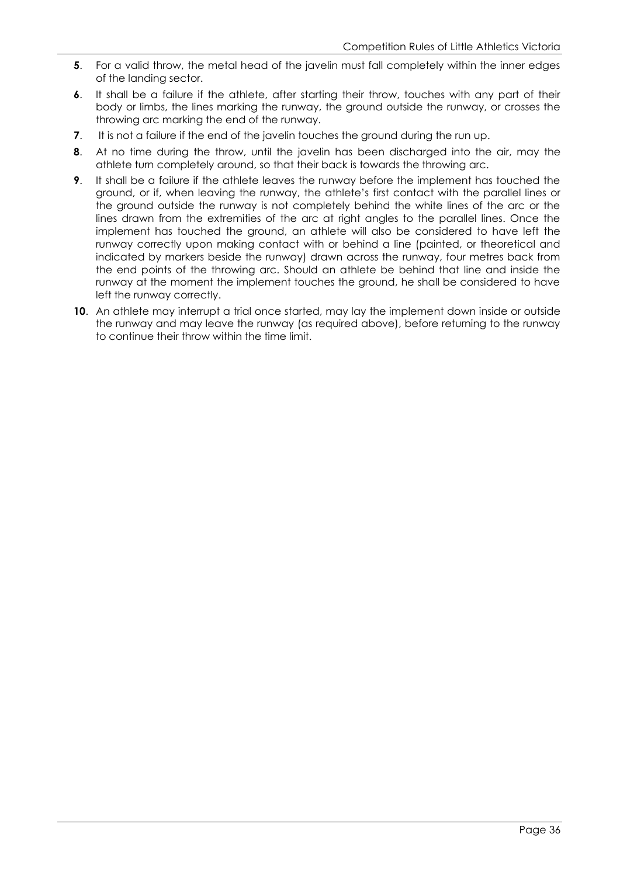- **5.** For a valid throw, the metal head of the javelin must fall completely within the inner edges of the landing sector.
- **6**. It shall be a failure if the athlete, after starting their throw, touches with any part of their body or limbs, the lines marking the runway, the ground outside the runway, or crosses the throwing arc marking the end of the runway.
- **7.** It is not a failure if the end of the javelin touches the ground during the run up.
- **8**. At no time during the throw, until the javelin has been discharged into the air, may the athlete turn completely around, so that their back is towards the throwing arc.
- **9**. It shall be a failure if the athlete leaves the runway before the implement has touched the ground, or if, when leaving the runway, the athlete's first contact with the parallel lines or the ground outside the runway is not completely behind the white lines of the arc or the lines drawn from the extremities of the arc at right angles to the parallel lines. Once the implement has touched the ground, an athlete will also be considered to have left the runway correctly upon making contact with or behind a line (painted, or theoretical and indicated by markers beside the runway) drawn across the runway, four metres back from the end points of the throwing arc. Should an athlete be behind that line and inside the runway at the moment the implement touches the ground, he shall be considered to have left the runway correctly.
- **10**. An athlete may interrupt a trial once started, may lay the implement down inside or outside the runway and may leave the runway (as required above), before returning to the runway to continue their throw within the time limit.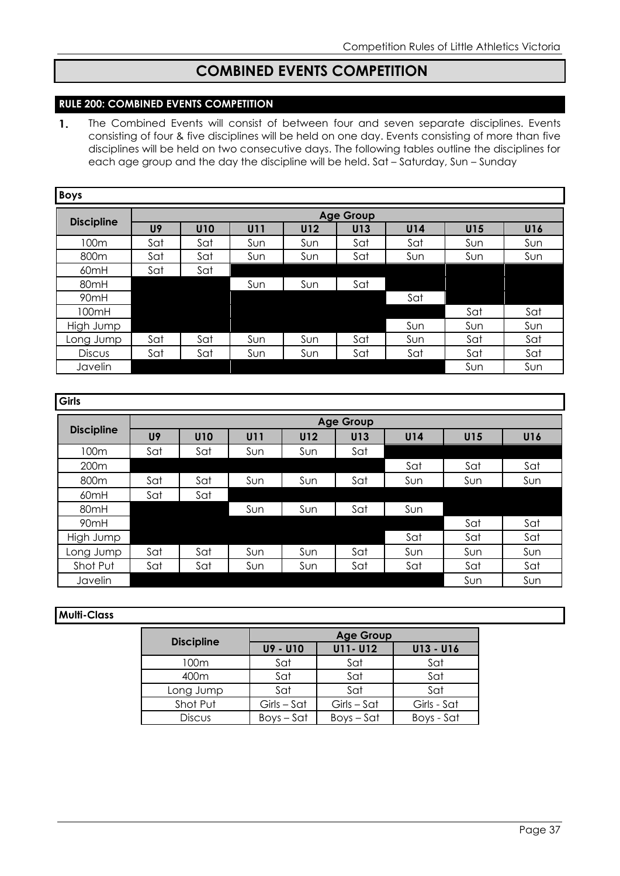# **COMBINED EVENTS COMPETITION**

#### **RULE 200: COMBINED EVENTS COMPETITION**

 $\mathbf{1}$ . The Combined Events will consist of between four and seven separate disciplines. Events consisting of four & five disciplines will be held on one day. Events consisting of more than five disciplines will be held on two consecutive days. The following tables outline the disciplines for each age group and the day the discipline will be held. Sat – Saturday, Sun – Sunday

| <b>Boys</b>       |                |                  |     |     |     |     |     |     |
|-------------------|----------------|------------------|-----|-----|-----|-----|-----|-----|
|                   |                | <b>Age Group</b> |     |     |     |     |     |     |
| <b>Discipline</b> | U <sub>9</sub> | <b>U10</b>       | U11 | U12 | U13 | U14 | U15 | U16 |
| 100m              | Sat            | Sat              | Sun | Sun | Sat | Sat | Sun | Sun |
| 800 <sub>m</sub>  | Sat            | Sat              | Sun | Sun | Sat | Sun | Sun | Sun |
| 60mH              | Sat            | Sat              |     |     |     |     |     |     |
| 80mH              |                |                  | Sun | Sun | Sat |     |     |     |
| 90mH              |                |                  |     |     |     | Sat |     |     |
| 100mH             |                |                  |     |     |     |     | Sat | Sat |
| High Jump         |                |                  |     |     |     | Sun | Sun | Sun |
| Long Jump         | Sat            | Sat              | Sun | Sun | Sat | Sun | Sat | Sat |
| <b>Discus</b>     | Sat            | Sat              | Sun | Sun | Sat | Sat | Sat | Sat |
| Javelin           |                |                  |     |     |     |     | Sun | Sun |

| <b>Girls</b>      |     |                  |            |     |     |     |     |     |
|-------------------|-----|------------------|------------|-----|-----|-----|-----|-----|
|                   |     | <b>Age Group</b> |            |     |     |     |     |     |
| <b>Discipline</b> | U9  | <b>U10</b>       | <b>U11</b> | U12 | U13 | U14 | U15 | U16 |
| 100m              | Sat | Sat              | Sun        | Sun | Sat |     |     |     |
| 200 <sub>m</sub>  |     |                  |            |     |     | Sat | Sat | Sat |
| 800m              | Sat | Sat              | Sun        | Sun | Sat | Sun | Sun | Sun |
| 60 <sub>mH</sub>  | Sat | Sat              |            |     |     |     |     |     |
| 80mH              |     |                  | Sun        | Sun | Sat | Sun |     |     |
| 90 <sub>mH</sub>  |     |                  |            |     |     |     | Sat | Sat |
| High Jump         |     |                  |            |     |     | Sat | Sat | Sat |
| Long Jump         | Sat | Sat              | Sun        | Sun | Sat | Sun | Sun | Sun |
| Shot Put          | Sat | Sat              | Sun        | Sun | Sat | Sat | Sat | Sat |
| Javelin           |     |                  |            |     |     |     | Sun | Sun |

#### **Multi-Class**

|                   |               | <b>Age Group</b> |             |  |  |  |
|-------------------|---------------|------------------|-------------|--|--|--|
| <b>Discipline</b> | U9 - U10      | U11- U12         | U13 - U16   |  |  |  |
| 100m              | Sat           | Sat              | Sat         |  |  |  |
| 400m              | Sat           | Sat              | Sat         |  |  |  |
| Long Jump         | Sat           | Sat              | Sat         |  |  |  |
| Shot Put          | $Girls - Sct$ | $Girls - Sct$    | Girls - Sat |  |  |  |
| <b>Discus</b>     | $Boys - Sat$  | $Boys - Sat$     | Boys - Sat  |  |  |  |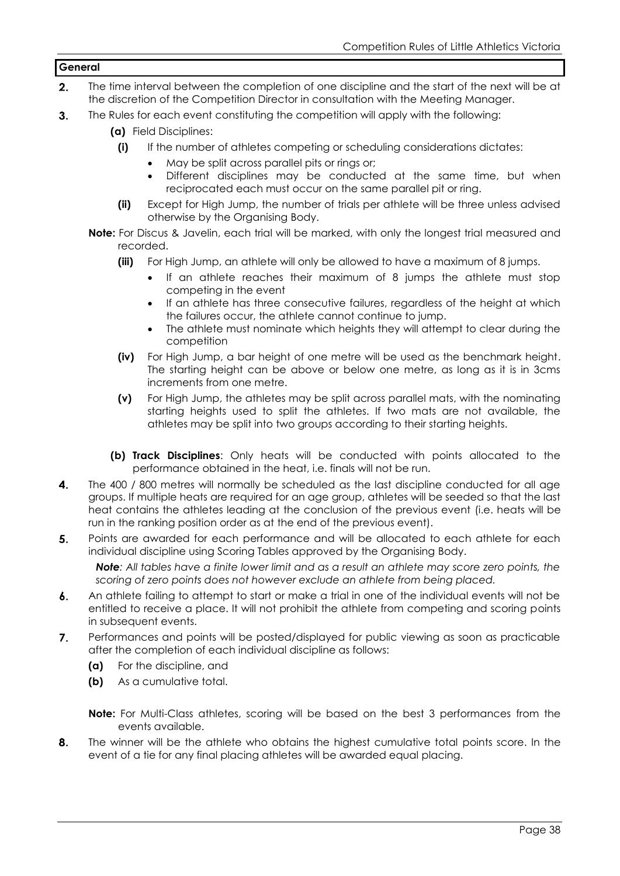#### **General**

- $2.$ The time interval between the completion of one discipline and the start of the next will be at the discretion of the Competition Director in consultation with the Meeting Manager.
- $3.$ The Rules for each event constituting the competition will apply with the following:
	- **(a)** Field Disciplines:
		- **(i)** If the number of athletes competing or scheduling considerations dictates:
			- May be split across parallel pits or rings or;
			- Different disciplines may be conducted at the same time, but when reciprocated each must occur on the same parallel pit or ring.
		- **(ii)** Except for High Jump, the number of trials per athlete will be three unless advised otherwise by the Organising Body.
	- **Note:** For Discus & Javelin, each trial will be marked, with only the longest trial measured and recorded.
		- **(iii)** For High Jump, an athlete will only be allowed to have a maximum of 8 jumps.
			- If an athlete reaches their maximum of 8 jumps the athlete must stop competing in the event
			- If an athlete has three consecutive failures, regardless of the height at which the failures occur, the athlete cannot continue to jump.
			- The athlete must nominate which heights they will attempt to clear during the competition
		- **(iv)** For High Jump, a bar height of one metre will be used as the benchmark height. The starting height can be above or below one metre, as long as it is in 3cms increments from one metre.
		- **(v)** For High Jump, the athletes may be split across parallel mats, with the nominating starting heights used to split the athletes. If two mats are not available, the athletes may be split into two groups according to their starting heights.
		- **(b) Track Disciplines**: Only heats will be conducted with points allocated to the performance obtained in the heat, i.e. finals will not be run.
- 4. The 400 / 800 metres will normally be scheduled as the last discipline conducted for all age groups. If multiple heats are required for an age group, athletes will be seeded so that the last heat contains the athletes leading at the conclusion of the previous event (i.e. heats will be run in the ranking position order as at the end of the previous event).
- 5. Points are awarded for each performance and will be allocated to each athlete for each individual discipline using Scoring Tables approved by the Organising Body.

*Note: All tables have a finite lower limit and as a result an athlete may score zero points, the scoring of zero points does not however exclude an athlete from being placed.*

- 6. An athlete failing to attempt to start or make a trial in one of the individual events will not be entitled to receive a place. It will not prohibit the athlete from competing and scoring points in subsequent events.
- 7. Performances and points will be posted/displayed for public viewing as soon as practicable after the completion of each individual discipline as follows:
	- **(a)** For the discipline, and
	- **(b)** As a cumulative total.
	- **Note:** For Multi-Class athletes, scoring will be based on the best 3 performances from the events available.
- 8. The winner will be the athlete who obtains the highest cumulative total points score. In the event of a tie for any final placing athletes will be awarded equal placing.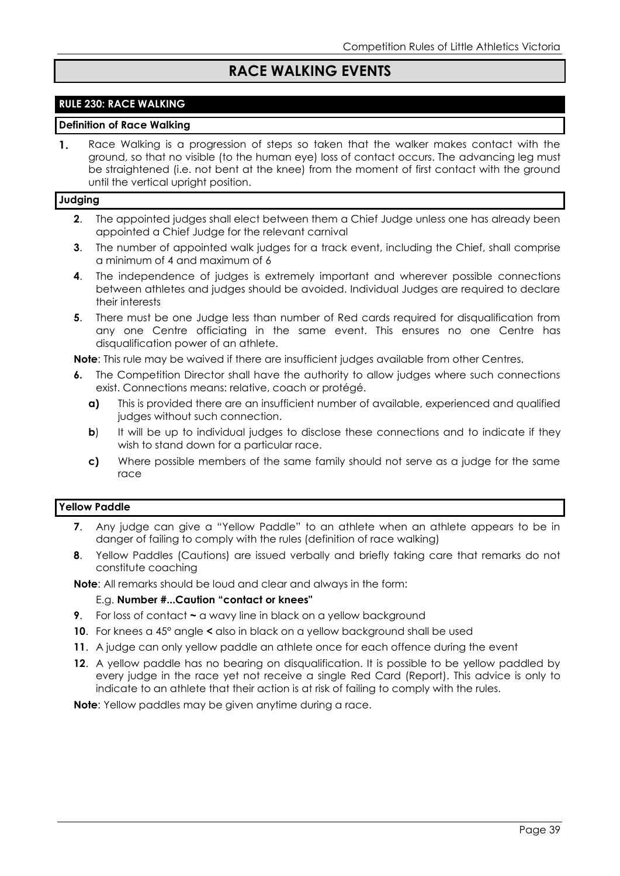# **RACE WALKING EVENTS**

#### **RULE 230: RACE WALKING**

#### **Definition of Race Walking**

 $\mathbf{1}$ . Race Walking is a progression of steps so taken that the walker makes contact with the ground, so that no visible (to the human eye) loss of contact occurs. The advancing leg must be straightened (i.e. not bent at the knee) from the moment of first contact with the ground until the vertical upright position.

#### **Judging**

- **2**. The appointed judges shall elect between them a Chief Judge unless one has already been appointed a Chief Judge for the relevant carnival
- **3**. The number of appointed walk judges for a track event, including the Chief, shall comprise a minimum of 4 and maximum of 6
- **4**. The independence of judges is extremely important and wherever possible connections between athletes and judges should be avoided. Individual Judges are required to declare their interests
- **5**. There must be one Judge less than number of Red cards required for disqualification from any one Centre officiating in the same event. This ensures no one Centre has disqualification power of an athlete.

**Note**: This rule may be waived if there are insufficient judges available from other Centres.

- **6.** The Competition Director shall have the authority to allow judges where such connections exist. Connections means: relative, coach or protégé.
	- **a)** This is provided there are an insufficient number of available, experienced and qualified judges without such connection.
	- **b**) It will be up to individual judges to disclose these connections and to indicate if they wish to stand down for a particular race.
	- **c)** Where possible members of the same family should not serve as a judge for the same race

#### **Yellow Paddle**

- **7**. Any judge can give a "Yellow Paddle" to an athlete when an athlete appears to be in danger of failing to comply with the rules (definition of race walking)
- **8**. Yellow Paddles (Cautions) are issued verbally and briefly taking care that remarks do not constitute coaching

**Note**: All remarks should be loud and clear and always in the form:

#### E.g. **Number #...Caution "contact or knees"**

- **9**. For loss of contact **~** a wavy line in black on a yellow background
- **10**. For knees a 45° angle **<** also in black on a yellow background shall be used
- **11**. A judge can only yellow paddle an athlete once for each offence during the event
- **12**. A yellow paddle has no bearing on disqualification. It is possible to be yellow paddled by every judge in the race yet not receive a single Red Card (Report). This advice is only to indicate to an athlete that their action is at risk of failing to comply with the rules.

**Note**: Yellow paddles may be given anytime during a race.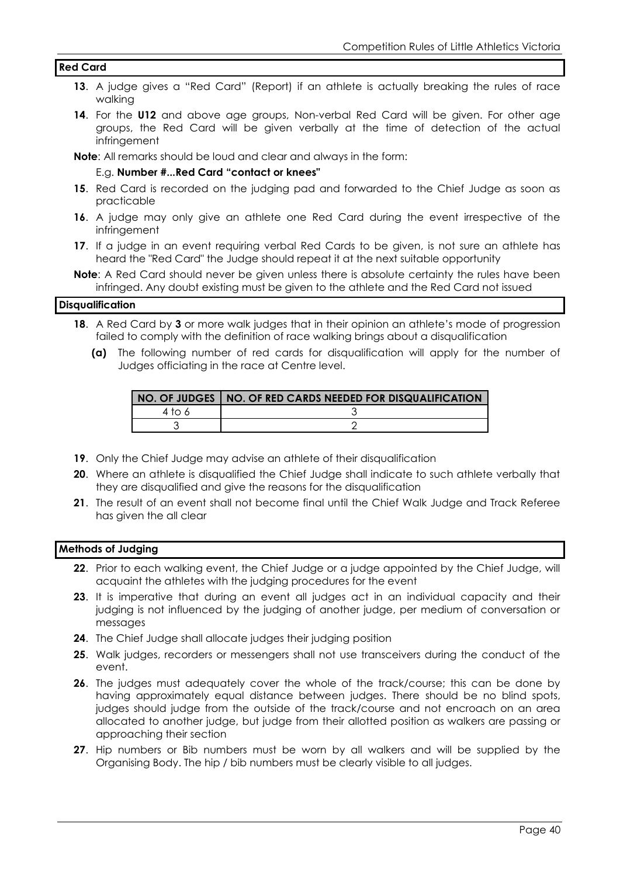#### **Red Card**

- **13**. A judge gives a "Red Card" (Report) if an athlete is actually breaking the rules of race walking
- **14**. For the **U12** and above age groups, Non-verbal Red Card will be given. For other age groups, the Red Card will be given verbally at the time of detection of the actual infringement

**Note**: All remarks should be loud and clear and always in the form:

#### E.g. **Number #...Red Card "contact or knees"**

- **15**. Red Card is recorded on the judging pad and forwarded to the Chief Judge as soon as practicable
- **16**. A judge may only give an athlete one Red Card during the event irrespective of the infringement
- **17**. If a judge in an event requiring verbal Red Cards to be given, is not sure an athlete has heard the "Red Card" the Judge should repeat it at the next suitable opportunity

**Note**: A Red Card should never be given unless there is absolute certainty the rules have been infringed. Any doubt existing must be given to the athlete and the Red Card not issued

#### **Disqualification**

- **18**. A Red Card by **3** or more walk judges that in their opinion an athlete's mode of progression failed to comply with the definition of race walking brings about a disqualification
	- **(a)** The following number of red cards for disqualification will apply for the number of Judges officiating in the race at Centre level.

|        | NO. OF JUDGES   NO. OF RED CARDS NEEDED FOR DISQUALIFICATION |
|--------|--------------------------------------------------------------|
| 4 to 6 |                                                              |
|        |                                                              |

- **19**. Only the Chief Judge may advise an athlete of their disqualification
- **20**. Where an athlete is disqualified the Chief Judge shall indicate to such athlete verbally that they are disqualified and give the reasons for the disqualification
- **21**. The result of an event shall not become final until the Chief Walk Judge and Track Referee has given the all clear

#### **Methods of Judging**

- **22**. Prior to each walking event, the Chief Judge or a judge appointed by the Chief Judge, will acquaint the athletes with the judging procedures for the event
- 23. It is imperative that during an event all judges act in an individual capacity and their judging is not influenced by the judging of another judge, per medium of conversation or messages
- **24**. The Chief Judge shall allocate judges their judging position
- **25**. Walk judges, recorders or messengers shall not use transceivers during the conduct of the event.
- **26**. The judges must adequately cover the whole of the track/course; this can be done by having approximately equal distance between judges. There should be no blind spots, judges should judge from the outside of the track/course and not encroach on an area allocated to another judge, but judge from their allotted position as walkers are passing or approaching their section
- **27**. Hip numbers or Bib numbers must be worn by all walkers and will be supplied by the Organising Body. The hip / bib numbers must be clearly visible to all judges.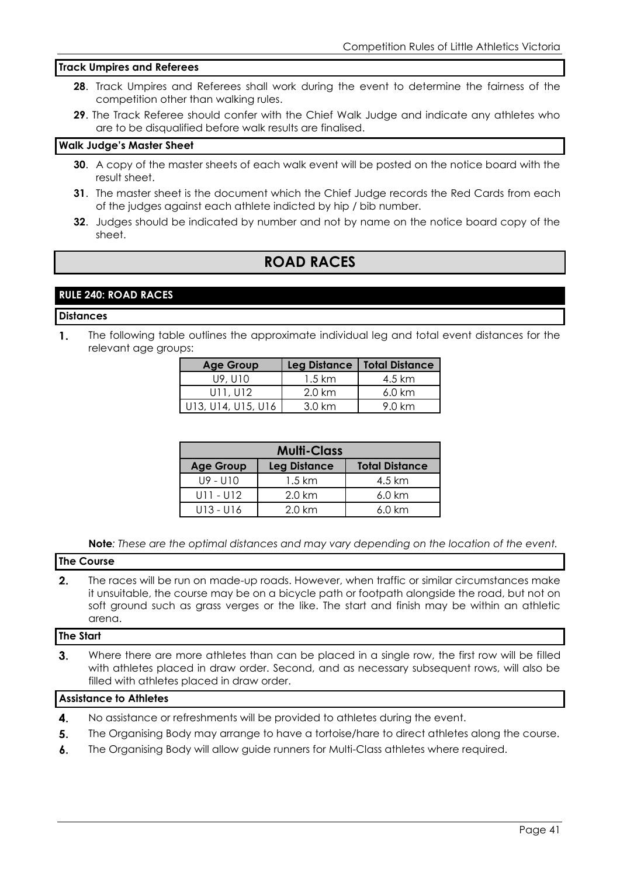#### **Track Umpires and Referees**

- **28**. Track Umpires and Referees shall work during the event to determine the fairness of the competition other than walking rules.
- **29**. The Track Referee should confer with the Chief Walk Judge and indicate any athletes who are to be disqualified before walk results are finalised.

#### **Walk Judge's Master Sheet**

- **30**. A copy of the master sheets of each walk event will be posted on the notice board with the result sheet.
- **31**. The master sheet is the document which the Chief Judge records the Red Cards from each of the judges against each athlete indicted by hip / bib number.
- **32**. Judges should be indicated by number and not by name on the notice board copy of the sheet.

# **ROAD RACES**

#### **RULE 240: ROAD RACES**

#### **Distances**

1. The following table outlines the approximate individual leg and total event distances for the relevant age groups:

| <b>Age Group</b>   |                   | Leg Distance   Total Distance |
|--------------------|-------------------|-------------------------------|
| U9, U10            | $1.5 \mathrm{km}$ | 4.5 km                        |
| U11, U12           | $2.0 \mathrm{km}$ | $6.0 \text{ km}$              |
| U13, U14, U15, U16 | $3.0 \mathrm{km}$ | 9.0 km                        |

| <b>Multi-Class</b> |                     |                       |  |  |  |
|--------------------|---------------------|-----------------------|--|--|--|
| <b>Age Group</b>   | <b>Leg Distance</b> | <b>Total Distance</b> |  |  |  |
| $119 - 1110$       | $1.5 \mathrm{km}$   | 4.5 km                |  |  |  |
| $U11 - U12$        | $2.0 \mathrm{km}$   | $6.0 \text{ km}$      |  |  |  |
| U13 - U16          | $2.0 \mathrm{km}$   | $6.0 \text{ km}$      |  |  |  |

**Note***: These are the optimal distances and may vary depending on the location of the event.*

#### **The Course**

 $2.$ The races will be run on made-up roads. However, when traffic or similar circumstances make it unsuitable, the course may be on a bicycle path or footpath alongside the road, but not on soft ground such as grass verges or the like. The start and finish may be within an athletic arena.

#### **The Start**

 $3<sub>1</sub>$ Where there are more athletes than can be placed in a single row, the first row will be filled with athletes placed in draw order. Second, and as necessary subsequent rows, will also be filled with athletes placed in draw order.

#### **Assistance to Athletes**

- 4. No assistance or refreshments will be provided to athletes during the event.
- 5. The Organising Body may arrange to have a tortoise/hare to direct athletes along the course.
- $\mathbf{6}$ . The Organising Body will allow guide runners for Multi-Class athletes where required.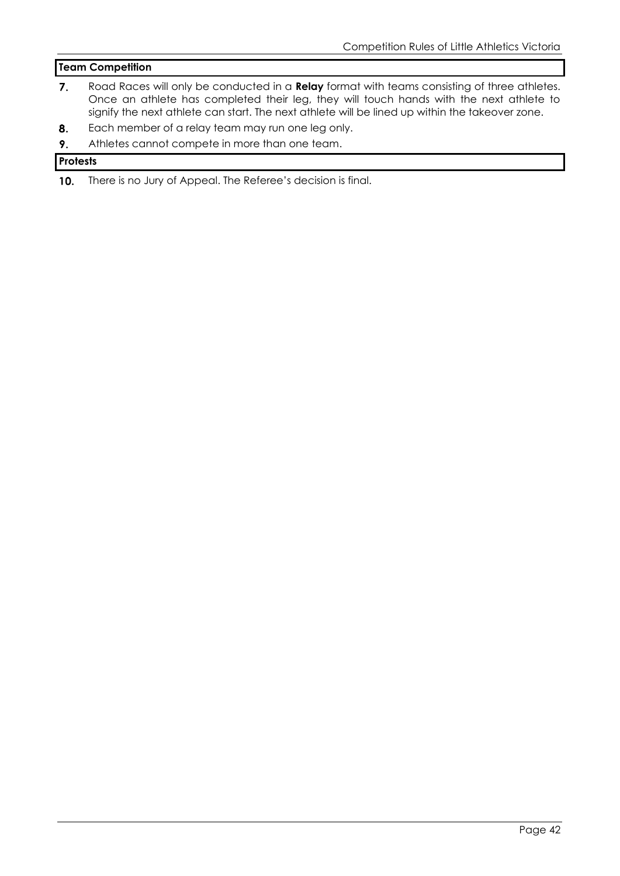#### **Team Competition**

- $7.$ Road Races will only be conducted in a **Relay** format with teams consisting of three athletes. Once an athlete has completed their leg, they will touch hands with the next athlete to signify the next athlete can start. The next athlete will be lined up within the takeover zone.
- 8. Each member of a relay team may run one leg only.
- Athletes cannot compete in more than one team.  $9<sub>1</sub>$

#### **Protests**

There is no Jury of Appeal. The Referee's decision is final. $10.$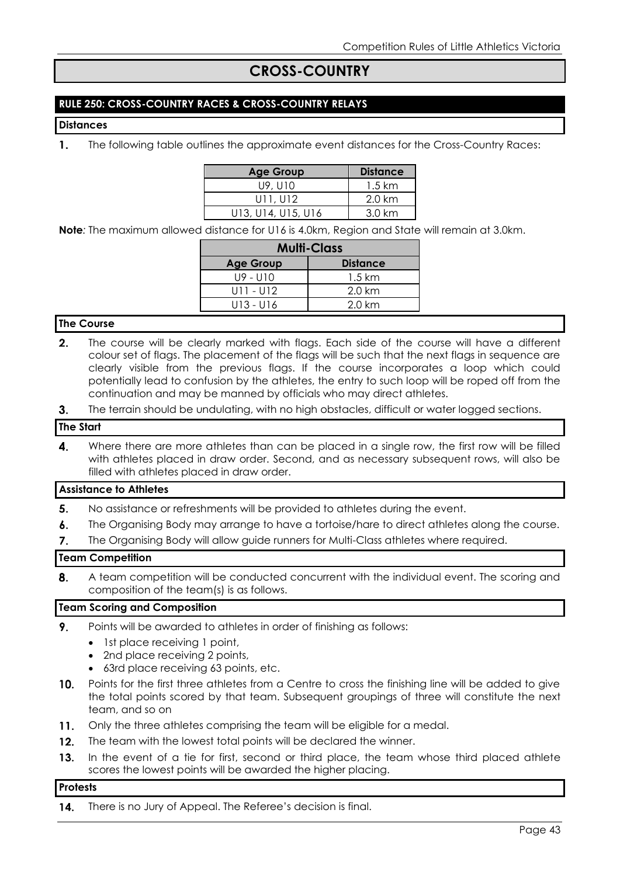## **CROSS-COUNTRY**

#### **RULE 250: CROSS-COUNTRY RACES & CROSS-COUNTRY RELAYS**

#### **Distances**

 $\mathbf{1}$ . The following table outlines the approximate event distances for the Cross-Country Races:

| <b>Age Group</b>   | <b>Distance</b>   |
|--------------------|-------------------|
| U9, U10            | $1.5 \text{ km}$  |
| U11, U12           | $2.0 \mathrm{km}$ |
| U13, U14, U15, U16 | $3.0 \mathrm{km}$ |

**Note***:* The maximum allowed distance for U16 is 4.0km, Region and State will remain at 3.0km.

| <b>Multi-Class</b> |                   |  |  |  |  |  |
|--------------------|-------------------|--|--|--|--|--|
| <b>Age Group</b>   | <b>Distance</b>   |  |  |  |  |  |
| U9 - U10           | $1.5 \mathrm{km}$ |  |  |  |  |  |
| U11 - U12          | $2.0 \mathrm{km}$ |  |  |  |  |  |
| U13 - U16          | $2.0 \mathrm{km}$ |  |  |  |  |  |

#### **The Course**

- $2.$ The course will be clearly marked with flags. Each side of the course will have a different colour set of flags. The placement of the flags will be such that the next flags in sequence are clearly visible from the previous flags. If the course incorporates a loop which could potentially lead to confusion by the athletes, the entry to such loop will be roped off from the continuation and may be manned by officials who may direct athletes.
- The terrain should be undulating, with no high obstacles, difficult or water logged sections.  $3.$

#### **The Start**

 $\mathbf{4}$ Where there are more athletes than can be placed in a single row, the first row will be filled with athletes placed in draw order. Second, and as necessary subsequent rows, will also be filled with athletes placed in draw order.

#### **Assistance to Athletes**

- 5. No assistance or refreshments will be provided to athletes during the event.
- $\mathbf{6}$ . The Organising Body may arrange to have a tortoise/hare to direct athletes along the course.
- $\overline{7}$ . The Organising Body will allow guide runners for Multi-Class athletes where required.

#### **Team Competition**

8. A team competition will be conducted concurrent with the individual event. The scoring and composition of the team(s) is as follows.

#### **Team Scoring and Composition**

- 9. Points will be awarded to athletes in order of finishing as follows:
	- 1st place receiving 1 point,
	- 2nd place receiving 2 points,
	- 63rd place receiving 63 points, etc.
- $10.$ Points for the first three athletes from a Centre to cross the finishing line will be added to give the total points scored by that team. Subsequent groupings of three will constitute the next team, and so on
- $11.$ Only the three athletes comprising the team will be eligible for a medal.
- $12.$ The team with the lowest total points will be declared the winner.
- $13.$ In the event of a tie for first, second or third place, the team whose third placed athlete scores the lowest points will be awarded the higher placing.

#### **Protests**

14. There is no Jury of Appeal. The Referee's decision is final.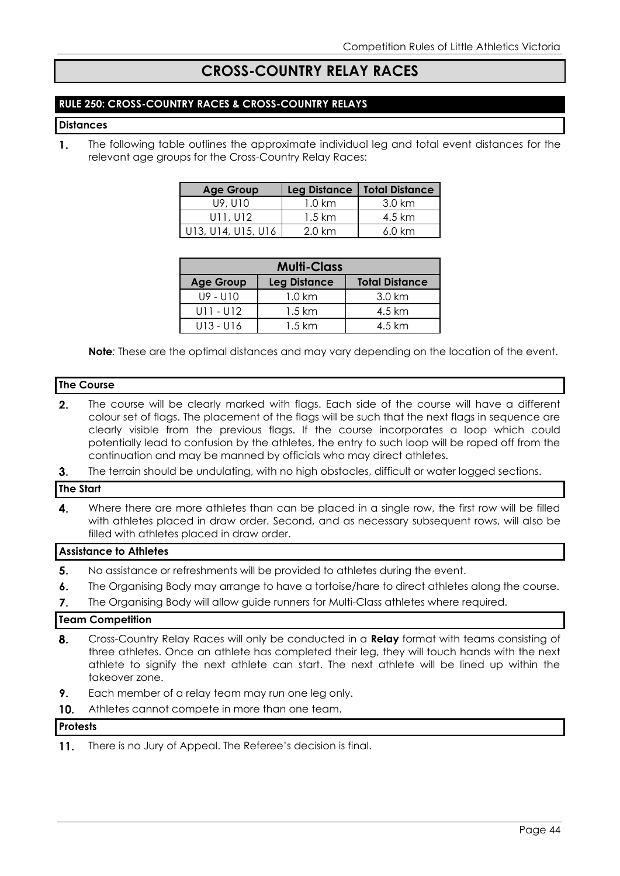# **CROSS-COUNTRY RELAY RACES**

#### **RULE 250: CROSS-COUNTRY RACES & CROSS-COUNTRY RELAYS**

#### **Distances**

 $\mathbf{1}$ . The following table outlines the approximate individual leg and total event distances for the relevant age groups for the Cross-Country Relay Races:

| <b>Age Group</b>   |                   | Leg Distance   Total Distance |
|--------------------|-------------------|-------------------------------|
| U9, U10            | $1.0 \mathrm{km}$ | 3.0 km                        |
| U11, U12           | $1.5 \mathrm{km}$ | 4.5 km                        |
| U13, U14, U15, U16 | $2.0 \mathrm{km}$ | $6.0 \text{ km}$              |

| <b>Multi-Class</b>                                               |                   |        |  |  |  |  |  |
|------------------------------------------------------------------|-------------------|--------|--|--|--|--|--|
| <b>Total Distance</b><br><b>Leg Distance</b><br><b>Age Group</b> |                   |        |  |  |  |  |  |
| U9 - U10                                                         | $1.0 \mathrm{km}$ | 3.0 km |  |  |  |  |  |
| $U11 - U12$                                                      | $1.5 \mathrm{km}$ | 4.5 km |  |  |  |  |  |
| $U13 - U16$                                                      | 1.5 km            | 4.5 km |  |  |  |  |  |

**Note***:* These are the optimal distances and may vary depending on the location of the event.

#### **The Course**

- $2.$ The course will be clearly marked with flags. Each side of the course will have a different colour set of flags. The placement of the flags will be such that the next flags in sequence are clearly visible from the previous flags. If the course incorporates a loop which could potentially lead to confusion by the athletes, the entry to such loop will be roped off from the continuation and may be manned by officials who may direct athletes.
- $3<sub>1</sub>$ The terrain should be undulating, with no high obstacles, difficult or water logged sections.

#### **The Start**

 $\mathbf{4}$ Where there are more athletes than can be placed in a single row, the first row will be filled with athletes placed in draw order. Second, and as necessary subsequent rows, will also be filled with athletes placed in draw order.

#### **Assistance to Athletes**

- 5. No assistance or refreshments will be provided to athletes during the event.
- $\boldsymbol{6}$ . The Organising Body may arrange to have a tortoise/hare to direct athletes along the course.
- The Organising Body will allow guide runners for Multi-Class athletes where required.  $\overline{7}$ .

#### **Team Competition**

- Cross-Country Relay Races will only be conducted in a **Relay** format with teams consisting of 8. three athletes. Once an athlete has completed their leg, they will touch hands with the next athlete to signify the next athlete can start. The next athlete will be lined up within the takeover zone.
- $9<sub>1</sub>$ Each member of a relay team may run one leg only.
- $10.$ Athletes cannot compete in more than one team.

#### **Protests**

 $11.$ There is no Jury of Appeal. The Referee's decision is final.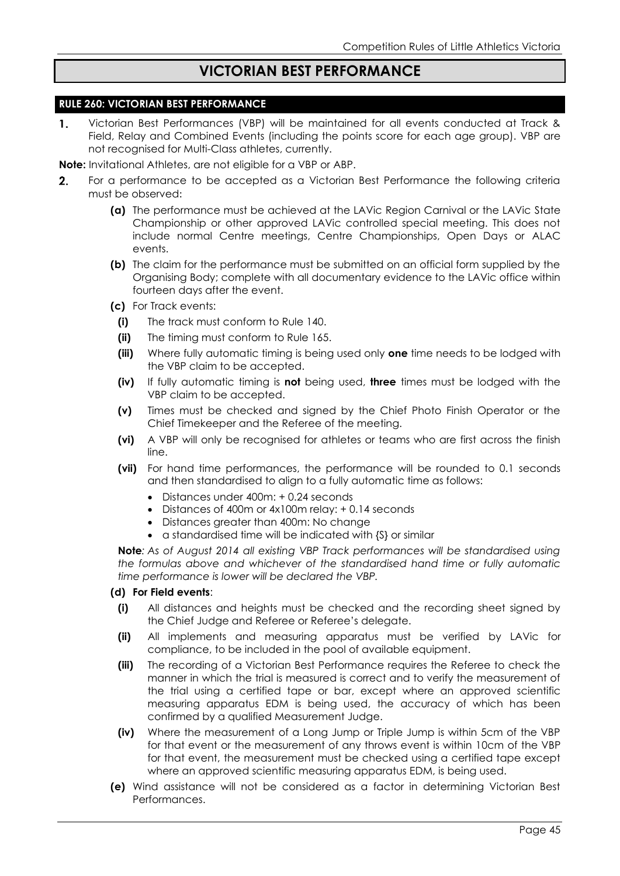## **VICTORIAN BEST PERFORMANCE**

#### **RULE 260: VICTORIAN BEST PERFORMANCE**

Victorian Best Performances (VBP) will be maintained for all events conducted at Track &  $\mathbf{1}$ . Field, Relay and Combined Events (including the points score for each age group). VBP are not recognised for Multi-Class athletes, currently.

**Note:** Invitational Athletes, are not eligible for a VBP or ABP.

- For a performance to be accepted as a Victorian Best Performance the following criteria  $2.$ must be observed:
	- **(a)** The performance must be achieved at the LAVic Region Carnival or the LAVic State Championship or other approved LAVic controlled special meeting. This does not include normal Centre meetings, Centre Championships, Open Days or ALAC events.
	- **(b)** The claim for the performance must be submitted on an official form supplied by the Organising Body; complete with all documentary evidence to the LAVic office within fourteen days after the event.
	- **(c)** For Track events:
		- **(i)** The track must conform to Rule 140.
		- **(ii)** The timing must conform to Rule 165.
		- **(iii)** Where fully automatic timing is being used only **one** time needs to be lodged with the VBP claim to be accepted.
		- **(iv)** If fully automatic timing is **not** being used, **three** times must be lodged with the VBP claim to be accepted.
		- **(v)** Times must be checked and signed by the Chief Photo Finish Operator or the Chief Timekeeper and the Referee of the meeting.
		- **(vi)** A VBP will only be recognised for athletes or teams who are first across the finish line.
		- **(vii)** For hand time performances, the performance will be rounded to 0.1 seconds and then standardised to align to a fully automatic time as follows:
			- Distances under 400m: + 0.24 seconds
			- Distances of 400m or 4x100m relay: + 0.14 seconds
			- Distances greater than 400m: No change
			- a standardised time will be indicated with {S} or similar

**Note***: As of August 2014 all existing VBP Track performances will be standardised using the formulas above and whichever of the standardised hand time or fully automatic time performance is lower will be declared the VBP.*

#### **(d) For Field events**:

- **(i)** All distances and heights must be checked and the recording sheet signed by the Chief Judge and Referee or Referee's delegate.
- **(ii)** All implements and measuring apparatus must be verified by LAVic for compliance, to be included in the pool of available equipment.
- **(iii)** The recording of a Victorian Best Performance requires the Referee to check the manner in which the trial is measured is correct and to verify the measurement of the trial using a certified tape or bar, except where an approved scientific measuring apparatus EDM is being used, the accuracy of which has been confirmed by a qualified Measurement Judge.
- **(iv)** Where the measurement of a Long Jump or Triple Jump is within 5cm of the VBP for that event or the measurement of any throws event is within 10cm of the VBP for that event, the measurement must be checked using a certified tape except where an approved scientific measuring apparatus EDM, is being used.
- **(e)** Wind assistance will not be considered as a factor in determining Victorian Best Performances.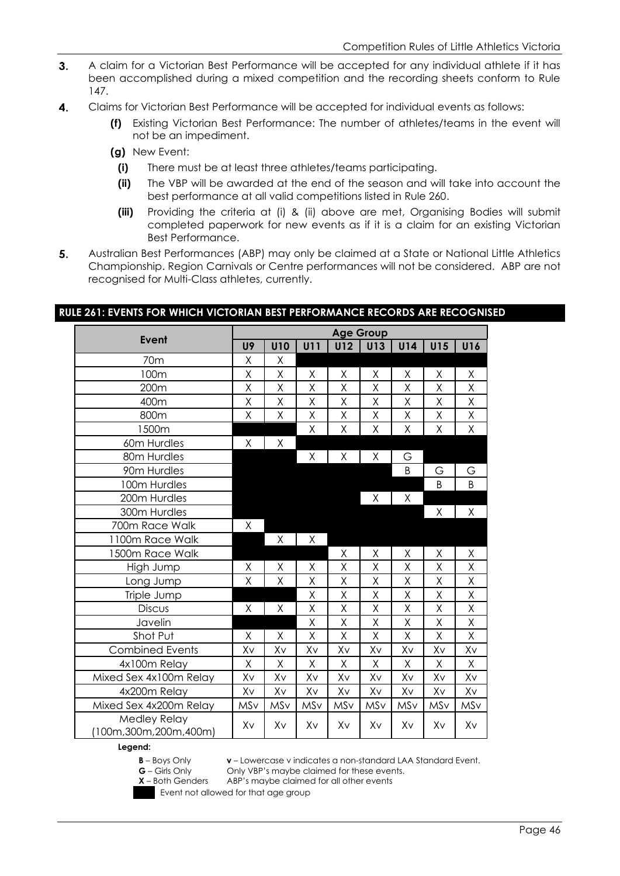- $3.$ A claim for a Victorian Best Performance will be accepted for any individual athlete if it has been accomplished during a mixed competition and the recording sheets conform to Rule 147.
- 4. Claims for Victorian Best Performance will be accepted for individual events as follows:
	- **(f)** Existing Victorian Best Performance: The number of athletes/teams in the event will not be an impediment.
	- **(g)** New Event:
		- **(i)** There must be at least three athletes/teams participating.
		- **(ii)** The VBP will be awarded at the end of the season and will take into account the best performance at all valid competitions listed in Rule 260.
		- **(iii)** Providing the criteria at (i) & (ii) above are met, Organising Bodies will submit completed paperwork for new events as if it is a claim for an existing Victorian Best Performance.
- 5. Australian Best Performances (ABP) may only be claimed at a State or National Little Athletics Championship. Region Carnivals or Centre performances will not be considered. ABP are not recognised for Multi-Class athletes, currently.

|                                      | <b>Age Group</b> |            |            |            |         |     |     |     |  |
|--------------------------------------|------------------|------------|------------|------------|---------|-----|-----|-----|--|
| Event                                | U9               | <b>U10</b> | <b>U11</b> | <b>U12</b> | U13     | U14 | U15 | U16 |  |
| 70 <sub>m</sub>                      | X                | X          |            |            |         |     |     |     |  |
| 100m                                 | Χ                | Χ          | Χ          | Χ          | Χ       | Χ   | Χ   | Χ   |  |
| 200m                                 | Χ                | X          | Χ          | X          | Χ       | Χ   | Χ   | Χ   |  |
| 400m                                 | Χ                | Χ          | Χ          | Χ          | Χ       | Χ   | Χ   | Χ   |  |
| 800m                                 | Χ                | $\sf X$    | Χ          | Χ          | Χ       | Χ   | Χ   | Χ   |  |
| 1500m                                |                  |            | Χ          | Χ          | Χ       | Χ   | Χ   | Χ   |  |
| 60m Hurdles                          | Χ                | Χ          |            |            |         |     |     |     |  |
| 80m Hurdles                          |                  |            | Χ          | Χ          | Χ       | G   |     |     |  |
| 90m Hurdles                          |                  |            |            |            |         | B   | G   | G   |  |
| 100m Hurdles                         |                  |            |            |            |         |     | B   | B   |  |
| 200m Hurdles                         |                  |            |            |            | Χ       | Χ   |     |     |  |
| 300m Hurdles                         |                  |            |            |            |         |     | Χ   | Χ   |  |
| 700m Race Walk                       | Χ                |            |            |            |         |     |     |     |  |
| 1100m Race Walk                      |                  | Χ          | X          |            |         |     |     |     |  |
| 1500m Race Walk                      |                  |            |            | χ          | Χ       | χ   | Χ   | χ   |  |
| High Jump                            | Χ                | X          | Χ          | Χ          | Χ       | Χ   | Χ   | Χ   |  |
| Long Jump                            | Χ                | Χ          | X          | Χ          | χ       | Χ   | Χ   | Χ   |  |
| Triple Jump                          |                  |            | Χ          | X          | $\sf X$ | X   | X   | Χ   |  |
| <b>Discus</b>                        | Χ                | Χ          | Χ          | Χ          | X       | X   | Χ   | Χ   |  |
| Javelin                              |                  |            | Χ          | Χ          | Χ       | Χ   | Χ   | Χ   |  |
| Shot Put                             | Χ                | Χ          | Χ          | Χ          | X       | Χ   | Χ   | Χ   |  |
| <b>Combined Events</b>               | Xv               | Xv         | Xv         | Xv         | Xv      | Xv  | Xv  | Xv  |  |
| 4x100m Relay                         | Χ                | Χ          | Χ          | X          | Χ       | X   | Χ   | Χ   |  |
| Mixed Sex 4x100m Relay               | Xv               | Xv         | Xv         | Xv         | Xv      | Xv  | Xv  | Xv  |  |
| 4x200m Relay                         | Xv               | Xv         | Xv         | Xv         | Xv      | Xv  | Xv  | Xv  |  |
| Mixed Sex 4x200m Relay               | MSv              | MSv        | MSv        | MSv        | MSv     | MSv | MSv | MSv |  |
| Medley Relay<br>100m,300m,200m,400m) | Xv               | Xv         | Xv         | Xv         | Xv      | Xv  | Xv  | Xv  |  |

#### **RULE 261: EVENTS FOR WHICH VICTORIAN BEST PERFORMANCE RECORDS ARE RECOGNISED**

#### **Legend:**

**v** – Lowercase v indicates a non-standard LAA Standard Event.

Only VBP's maybe claimed for these events.



Event not allowed for that age group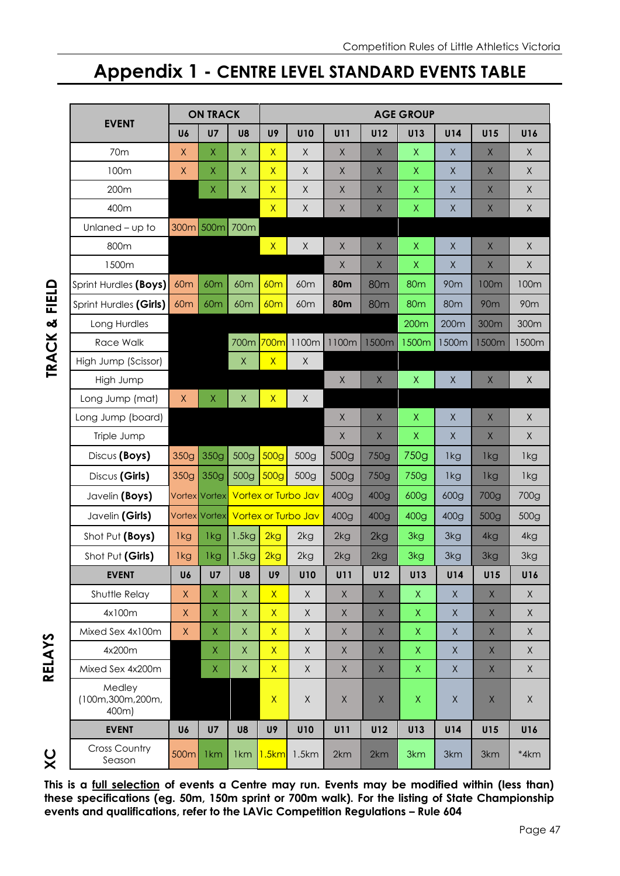# **Appendix 1 - CENTRE LEVEL STANDARD EVENTS TABLE**

|                                     |                 | <b>ON TRACK</b>      |                 | <b>AGE GROUP</b> |                            |             |             |              |                 |              |                 |
|-------------------------------------|-----------------|----------------------|-----------------|------------------|----------------------------|-------------|-------------|--------------|-----------------|--------------|-----------------|
| <b>EVENT</b>                        | U6              | U <sub>7</sub>       | U8              | U9               | <b>U10</b>                 | U11         | U12         | U13          | U14             | U15          | U16             |
| 70m                                 | Χ               | X                    | $\sf X$         | $\mathsf{X}$     | X                          | X           | X           | X            | $\times$        | X            | X               |
| 100m                                | $\sf X$         | Χ                    | $\mathsf X$     | $\mathsf{X}$     | $\mathsf X$                | X           | X           | Χ            | X               | X            | $\mathsf X$     |
| 200m                                |                 | X                    | $\mathsf X$     | $\mathsf{X}$     | $\mathsf X$                | X           | X           | X            | $\times$        | X            | $\mathsf X$     |
| 400m                                |                 |                      |                 | $\mathsf{X}$     | $\mathsf X$                | X           | X           | Χ            | $\mathsf X$     | $\mathsf X$  | $\mathsf X$     |
| Unlaned - up to                     |                 | 300m 500m 700m       |                 |                  |                            |             |             |              |                 |              |                 |
| 800m                                |                 |                      |                 | $\mathsf{X}$     | $\mathsf X$                | X           | X           | $\mathsf X$  | $\mathsf X$     | $\mathsf X$  | $\mathsf X$     |
| 1500m                               |                 |                      |                 |                  |                            | X           | X           | X            | X               | $\mathsf X$  | $\mathsf X$     |
| Sprint Hurdles (Boys)               | 60 <sub>m</sub> | <b>60m</b>           | 60m             | <b>60m</b>       | 60 <sub>m</sub>            | <b>80m</b>  | <b>80m</b>  | <b>80m</b>   | <b>90m</b>      | 100m         | 100m            |
| Sprint Hurdles (Girls)              | 60 <sub>m</sub> | 60 <sub>m</sub>      | 60 <sub>m</sub> | 60m              | 60 <sub>m</sub>            | <b>80m</b>  | <b>80m</b>  | <b>80m</b>   | 80 <sub>m</sub> | <b>90m</b>   | 90 <sub>m</sub> |
| Long Hurdles                        |                 |                      |                 |                  |                            |             |             | 200m         | 200m            | 300m         | 300m            |
| Race Walk                           |                 |                      | 700m            | 700m             | 1100m                      | 1100m       | 1500m       | 1500m        | 1500m           | 1500m        | 1500m           |
| High Jump (Scissor)                 |                 |                      | $\mathsf{X}$    | $\overline{X}$   | $\mathsf X$                |             |             |              |                 |              |                 |
| High Jump                           |                 |                      |                 |                  |                            | $\mathsf X$ | $\mathsf X$ | $\mathsf X$  | $\sf X$         | $\mathsf X$  | $\mathsf X$     |
| Long Jump (mat)                     | $\mathsf X$     | X                    | $\mathsf X$     | $\mathsf{X}$     | $\mathsf X$                |             |             |              |                 |              |                 |
| Long Jump (board)                   |                 |                      |                 |                  |                            | $\mathsf X$ | $\mathsf X$ | $\mathsf X$  | $\sf X$         | $\mathsf X$  | $\mathsf X$     |
| Triple Jump                         |                 |                      |                 |                  |                            | $\mathsf X$ | $\mathsf X$ | $\mathsf X$  | $\sf X$         | $\mathsf{X}$ | $\sf X$         |
| Discus (Boys)                       | 350g            | 350g                 | 500g            | 500 <sub>g</sub> | 500g                       | 500g        | 750g        | 750g         | 1kg             | 1kg          | 1kg             |
| Discus (Girls)                      | 350g            | 350g                 | 500g            | 500 <sub>g</sub> | 500g                       | 500g        | 750g        | 750g         | 1kg             | 1kg          | 1kg             |
| Javelin (Boys)                      |                 | <b>Vortex</b> Vortex |                 |                  | <b>Vortex or Turbo Jav</b> | 400g        | 400g        | 600g         | 600g            | 700g         | 700g            |
| Javelin (Girls)                     |                 | <b>Vortex Vortex</b> |                 |                  | Vortex or Turbo Jav        | 400g        | 400g        | 400g         | 400g            | 500g         | 500g            |
| Shot Put (Boys)                     | 1kg             | 1kg                  | 1.5kg           | 2kg              | 2kg                        | 2kg         | 2kg         | 3kg          | 3kg             | 4kg          | 4kg             |
| Shot Put (Girls)                    | 1kg             | 1kg                  | 1.5kg           | 2kg              | 2kg                        | 2kg         | 2kg         | 3kg          | 3kg             | 3kg          | 3kg             |
| <b>EVENT</b>                        | U6              | U7                   | U8              | U9               | <b>U10</b>                 | U11         | <b>U12</b>  | U13          | U14             | U15          | U16             |
| Shuttle Relay                       | $\mathsf X$     | $\overline{X}$       | $\mathsf X$     | $\overline{X}$   | $\sf X$                    | $\mathsf X$ | $\mathsf X$ | $\mathsf{X}$ | $\mathsf X$     | $\mathsf X$  | $\mathsf{X}$    |
| 4x100m                              | $\mathsf X$     | $\mathsf X$          | $\mathsf X$     | $\mathsf{X}$     | $\mathsf X$                | $\mathsf X$ | $\mathsf X$ | $\mathsf{X}$ | $\mathsf X$     | $\mathsf X$  | $\mathsf X$     |
| Mixed Sex 4x100m                    | $\mathsf X$     | $\overline{X}$       | $\mathsf X$     | $\mathsf{X}$     | $\sf X$                    | $\mathsf X$ | $\mathsf X$ | X            | $\mathsf X$     | $\mathsf X$  | $\mathsf{X}$    |
| 4x200m                              |                 | $\mathsf{X}$         | $\mathsf X$     | $\overline{X}$   | $\mathsf X$                | $\mathsf X$ | $\mathsf X$ | X            | $\mathsf X$     | $\mathsf X$  | $\mathsf X$     |
| Mixed Sex 4x200m                    |                 | $\mathsf X$          | $\mathsf X$     | $\overline{X}$   | $\sf X$                    | $\mathsf X$ | $\mathsf X$ | $\mathsf{X}$ | $\times$        | $\mathsf X$  | $\mathsf X$     |
| Medley<br>(100m,300m,200m,<br>400m) |                 |                      |                 | $\mathsf{X}$     | $\mathsf X$                | $\mathsf X$ | $\mathsf X$ | X            | Χ               | $\mathsf X$  | $\mathsf X$     |
| <b>EVENT</b>                        | U6              | U7                   | U8              | U9               | <b>U10</b>                 | U11         | <b>U12</b>  | U13          | U14             | U15          | U16             |
| <b>Cross Country</b><br>Season      | 500m            | 1 <sub>km</sub>      | 1 <sub>km</sub> | 1.5km            | 1.5km                      | 2km         | 2km         | 3km          | 3km             | 3km          | *4km            |

**XC RELAYS**

 $X<sup>C</sup>$ 

**RELAYS** 

**This is a full selection of events a Centre may run. Events may be modified within (less than) these specifications (eg. 50m, 150m sprint or 700m walk). For the listing of State Championship events and qualifications, refer to the LAVic Competition Regulations – Rule 604**